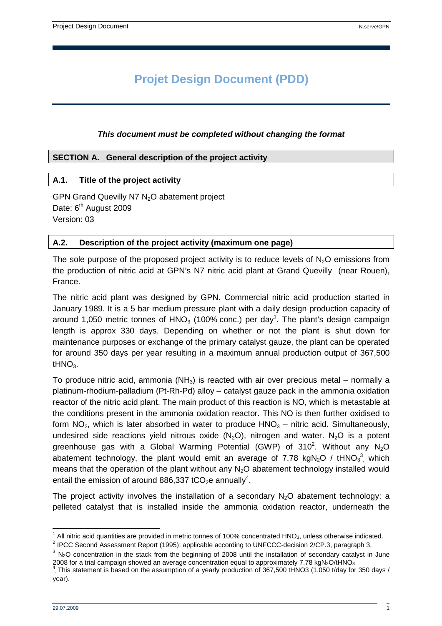# **Projet Design Document (PDD)**

#### **This document must be completed without changing the format**

#### **SECTION A. General description of the project activity**

#### **A.1. Title of the project activity**

GPN Grand Quevilly N7 N<sub>2</sub>O abatement project Date: 6<sup>th</sup> August 2009 Version: 03

#### **A.2. Description of the project activity (maximum one page)**

The sole purpose of the proposed project activity is to reduce levels of  $N_2O$  emissions from the production of nitric acid at GPN's N7 nitric acid plant at Grand Quevilly (near Rouen), France.

The nitric acid plant was designed by GPN. Commercial nitric acid production started in January 1989. It is a 5 bar medium pressure plant with a daily design production capacity of around 1,050 metric tonnes of  $HNO<sub>3</sub>$  (100% conc.) per day<sup>1</sup>. The plant's design campaign length is approx 330 days. Depending on whether or not the plant is shut down for maintenance purposes or exchange of the primary catalyst gauze, the plant can be operated for around 350 days per year resulting in a maximum annual production output of 367,500  $tHNO<sub>3</sub>$ .

To produce nitric acid, ammonia  $(NH_3)$  is reacted with air over precious metal – normally a platinum-rhodium-palladium (Pt-Rh-Pd) alloy – catalyst gauze pack in the ammonia oxidation reactor of the nitric acid plant. The main product of this reaction is NO, which is metastable at the conditions present in the ammonia oxidation reactor. This NO is then further oxidised to form  $NO<sub>2</sub>$ , which is later absorbed in water to produce  $HNO<sub>3</sub> -$  nitric acid. Simultaneously, undesired side reactions yield nitrous oxide  $(N_2O)$ , nitrogen and water. N<sub>2</sub>O is a potent greenhouse gas with a Global Warming Potential (GWP) of 310<sup>2</sup>. Without any N<sub>2</sub>O abatement technology, the plant would emit an average of 7.78 kgN<sub>2</sub>O / tHNO<sub>3</sub><sup>3</sup>, which means that the operation of the plant without any  $N<sub>2</sub>O$  abatement technology installed would entail the emission of around 886,337 tCO<sub>2</sub>e annually<sup>4</sup>.

The project activity involves the installation of a secondary  $N<sub>2</sub>O$  abatement technology: a pelleted catalyst that is installed inside the ammonia oxidation reactor, underneath the

<sup>1&</sup>lt;br><sup>1</sup> All nitric acid quantities are provided in metric tonnes of 100% concentrated HNO<sub>3</sub>, unless otherwise indicated.

 $2$  IPCC Second Assessment Report (1995); applicable according to UNFCCC-decision 2/CP.3, paragraph 3.

 $3$  N<sub>2</sub>O concentration in the stack from the beginning of 2008 until the installation of secondary catalyst in June 2008 for a trial campaign showed an average concentration equal to approximately 7.78 kgN<sub>2</sub>O/tHNO<sub>3</sub>

<sup>&</sup>lt;sup>4</sup> This statement is based on the assumption of a yearly production of 367,500 tHNO3 (1,050 t/day for 350 days / year).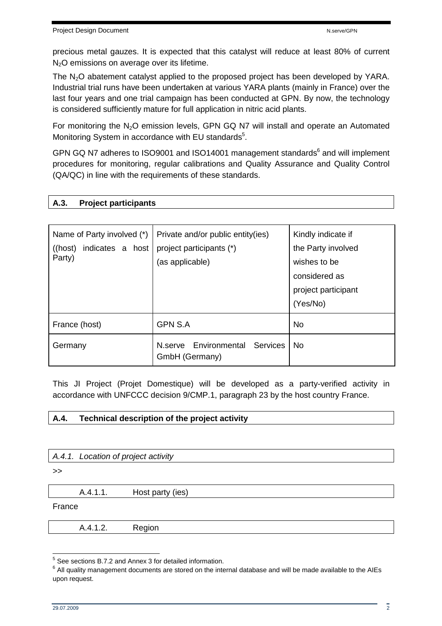**A.3. Project participants** 

precious metal gauzes. It is expected that this catalyst will reduce at least 80% of current  $N<sub>2</sub>O$  emissions on average over its lifetime.

The N<sub>2</sub>O abatement catalyst applied to the proposed project has been developed by YARA. Industrial trial runs have been undertaken at various YARA plants (mainly in France) over the last four years and one trial campaign has been conducted at GPN. By now, the technology is considered sufficiently mature for full application in nitric acid plants.

For monitoring the N<sub>2</sub>O emission levels, GPN GQ N7 will install and operate an Automated Monitoring System in accordance with EU standards<sup>5</sup>.

GPN GQ N7 adheres to ISO9001 and ISO14001 management standards $^6$  and will implement procedures for monitoring, regular calibrations and Quality Assurance and Quality Control (QA/QC) in line with the requirements of these standards.

| Name of Party involved (*)<br>indicates a host<br>$($ (host)<br>Party) | Private and/or public entity(ies)<br>project participants (*)<br>(as applicable) | Kindly indicate if<br>the Party involved<br>wishes to be<br>considered as<br>project participant<br>(Yes/No) |
|------------------------------------------------------------------------|----------------------------------------------------------------------------------|--------------------------------------------------------------------------------------------------------------|
| France (host)                                                          | <b>GPN S.A</b>                                                                   | <b>No</b>                                                                                                    |
| Germany                                                                | N.serve Environmental<br><b>Services</b><br>GmbH (Germany)                       | <b>No</b>                                                                                                    |

This JI Project (Projet Domestique) will be developed as a party-verified activity in accordance with UNFCCC decision 9/CMP.1, paragraph 23 by the host country France.

#### **A.4. Technical description of the project activity**

A.4.1. Location of project activity

>>

A.4.1.1. Host party (ies)

France

A.4.1.2. Region

<sup>&</sup>lt;sup>5</sup> See sections B.7.2 and Annex 3 for detailed information.

 $^6$  All quality management documents are stored on the internal database and will be made available to the AIEs upon request.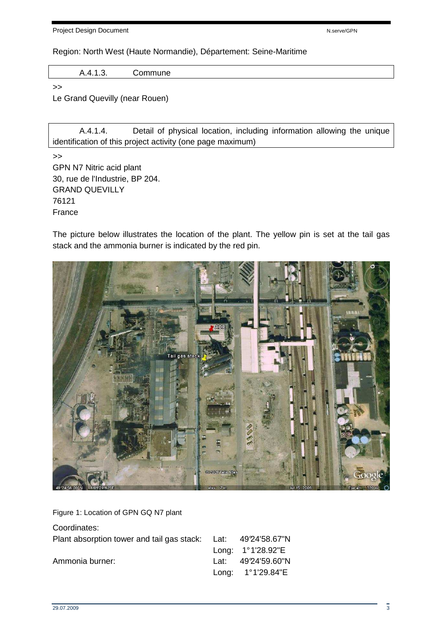Region: North West (Haute Normandie), Département: Seine-Maritime

A.4.1.3. Commune

>>

Le Grand Quevilly (near Rouen)

 A.4.1.4. Detail of physical location, including information allowing the unique identification of this project activity (one page maximum)

 $\rightarrow$ GPN N7 Nitric acid plant 30, rue de l'Industrie, BP 204. GRAND QUEVILLY 76121 France

The picture below illustrates the location of the plant. The yellow pin is set at the tail gas stack and the ammonia burner is indicated by the red pin.



Figure 1: Location of GPN GQ N7 plant

Coordinates:

| Plant absorption tower and tail gas stack: Lat: 4924'58.67"N |                   |
|--------------------------------------------------------------|-------------------|
|                                                              | Long: 1°1'28.92"E |
| Ammonia burner:                                              | Lat: 4924'59.60"N |
|                                                              | Long: 1°1'29.84"E |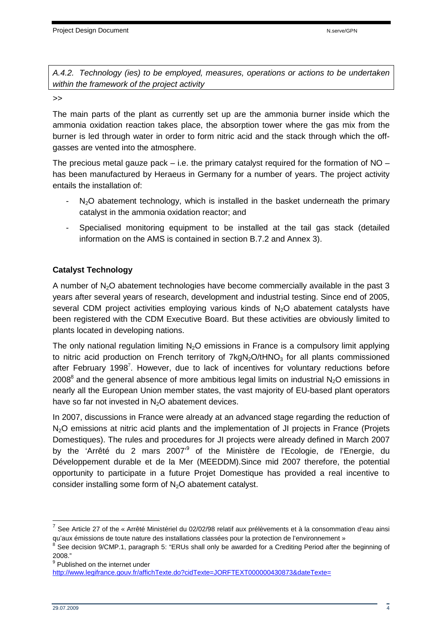A.4.2. Technology (ies) to be employed, measures, operations or actions to be undertaken within the framework of the project activity

>>

The main parts of the plant as currently set up are the ammonia burner inside which the ammonia oxidation reaction takes place, the absorption tower where the gas mix from the burner is led through water in order to form nitric acid and the stack through which the offgasses are vented into the atmosphere.

The precious metal gauze pack – i.e. the primary catalyst required for the formation of  $NO$ has been manufactured by Heraeus in Germany for a number of years. The project activity entails the installation of:

- $N<sub>2</sub>O$  abatement technology, which is installed in the basket underneath the primary catalyst in the ammonia oxidation reactor; and
- Specialised monitoring equipment to be installed at the tail gas stack (detailed information on the AMS is contained in section B.7.2 and Annex 3).

## **Catalyst Technology**

A number of  $N<sub>2</sub>O$  abatement technologies have become commercially available in the past 3 years after several years of research, development and industrial testing. Since end of 2005, several CDM project activities employing various kinds of  $N<sub>2</sub>O$  abatement catalysts have been registered with the CDM Executive Board. But these activities are obviously limited to plants located in developing nations.

The only national regulation limiting  $N<sub>2</sub>O$  emissions in France is a compulsory limit applying to nitric acid production on French territory of  $7kgN<sub>2</sub>O/tHNO<sub>3</sub>$  for all plants commissioned after February 1998<sup>7</sup>. However, due to lack of incentives for voluntary reductions before 2008<sup>8</sup> and the general absence of more ambitious legal limits on industrial N<sub>2</sub>O emissions in nearly all the European Union member states, the vast majority of EU-based plant operators have so far not invested in  $N_2O$  abatement devices.

In 2007, discussions in France were already at an advanced stage regarding the reduction of N<sub>2</sub>O emissions at nitric acid plants and the implementation of JI projects in France (Projets Domestiques). The rules and procedures for JI projects were already defined in March 2007 by the 'Arrêté du 2 mars 2007'<sup>9</sup> of the Ministère de l'Ecologie, de l'Energie, du Développement durable et de la Mer (MEEDDM).Since mid 2007 therefore, the potential opportunity to participate in a future Projet Domestique has provided a real incentive to consider installing some form of  $N_2O$  abatement catalyst.

 $\overline{a}$ 

<sup>&</sup>lt;sup>7</sup> See Article 27 of the « Arrêté Ministériel du 02/02/98 relatif aux prélèvements et à la consommation d'eau ainsi

qu'aux émissions de toute nature des installations classées pour la protection de l'environnement »<br><sup>8</sup> See decision 9/CMP.1, paragraph 5: "ERUs shall only be awarded for a Crediting Period after the beginning of 2008."

<sup>&</sup>lt;sup>9</sup> Published on the internet under

http://www.legifrance.gouv.fr/affichTexte.do?cidTexte=JORFTEXT000000430873&dateTexte=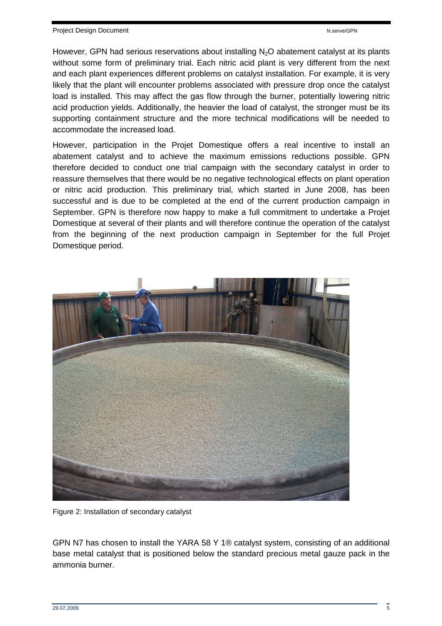However, GPN had serious reservations about installing  $N<sub>2</sub>O$  abatement catalyst at its plants without some form of preliminary trial. Each nitric acid plant is very different from the next and each plant experiences different problems on catalyst installation. For example, it is very likely that the plant will encounter problems associated with pressure drop once the catalyst load is installed. This may affect the gas flow through the burner, potentially lowering nitric acid production yields. Additionally, the heavier the load of catalyst, the stronger must be its supporting containment structure and the more technical modifications will be needed to accommodate the increased load.

However, participation in the Projet Domestique offers a real incentive to install an abatement catalyst and to achieve the maximum emissions reductions possible. GPN therefore decided to conduct one trial campaign with the secondary catalyst in order to reassure themselves that there would be no negative technological effects on plant operation or nitric acid production. This preliminary trial, which started in June 2008, has been successful and is due to be completed at the end of the current production campaign in September. GPN is therefore now happy to make a full commitment to undertake a Projet Domestique at several of their plants and will therefore continue the operation of the catalyst from the beginning of the next production campaign in September for the full Projet Domestique period.



Figure 2: Installation of secondary catalyst

GPN N7 has chosen to install the YARA 58 Y 1® catalyst system, consisting of an additional base metal catalyst that is positioned below the standard precious metal gauze pack in the ammonia burner.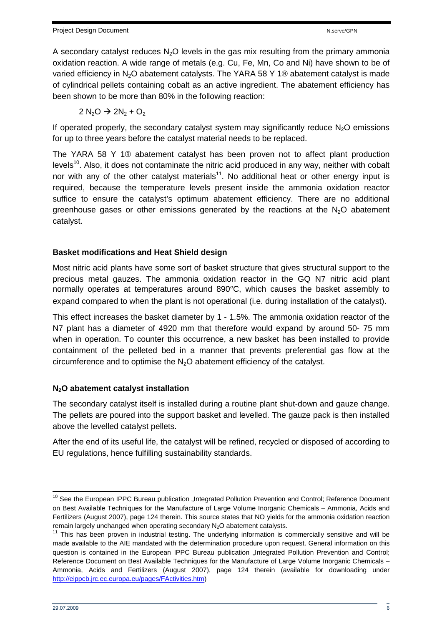A secondary catalyst reduces  $N_2O$  levels in the gas mix resulting from the primary ammonia oxidation reaction. A wide range of metals (e.g. Cu, Fe, Mn, Co and Ni) have shown to be of varied efficiency in  $N_2O$  abatement catalysts. The YARA 58 Y 1 $\odot$  abatement catalyst is made of cylindrical pellets containing cobalt as an active ingredient. The abatement efficiency has been shown to be more than 80% in the following reaction:

$$
2 N_2O \rightarrow 2N_2 + O_2
$$

If operated properly, the secondary catalyst system may significantly reduce  $N<sub>2</sub>O$  emissions for up to three years before the catalyst material needs to be replaced.

The YARA 58 Y 1® abatement catalyst has been proven not to affect plant production levels<sup>10</sup>. Also, it does not contaminate the nitric acid produced in any way, neither with cobalt nor with any of the other catalyst materials<sup>11</sup>. No additional heat or other energy input is required, because the temperature levels present inside the ammonia oxidation reactor suffice to ensure the catalyst's optimum abatement efficiency. There are no additional greenhouse gases or other emissions generated by the reactions at the  $N<sub>2</sub>O$  abatement catalyst.

#### **Basket modifications and Heat Shield design**

Most nitric acid plants have some sort of basket structure that gives structural support to the precious metal gauzes. The ammonia oxidation reactor in the GQ N7 nitric acid plant normally operates at temperatures around 890ºC, which causes the basket assembly to expand compared to when the plant is not operational (i.e. during installation of the catalyst).

This effect increases the basket diameter by 1 - 1.5%. The ammonia oxidation reactor of the N7 plant has a diameter of 4920 mm that therefore would expand by around 50- 75 mm when in operation. To counter this occurrence, a new basket has been installed to provide containment of the pelleted bed in a manner that prevents preferential gas flow at the circumference and to optimise the  $N_2O$  abatement efficiency of the catalyst.

#### **N2O abatement catalyst installation**

The secondary catalyst itself is installed during a routine plant shut-down and gauze change. The pellets are poured into the support basket and levelled. The gauze pack is then installed above the levelled catalyst pellets.

After the end of its useful life, the catalyst will be refined, recycled or disposed of according to EU regulations, hence fulfilling sustainability standards.

 $\overline{a}$ 

<sup>&</sup>lt;sup>10</sup> See the European IPPC Bureau publication "Integrated Pollution Prevention and Control; Reference Document on Best Available Techniques for the Manufacture of Large Volume Inorganic Chemicals – Ammonia, Acids and Fertilizers (August 2007), page 124 therein. This source states that NO yields for the ammonia oxidation reaction remain largely unchanged when operating secondary N<sub>2</sub>O abatement catalysts.

 $11$  This has been proven in industrial testing. The underlying information is commercially sensitive and will be made available to the AIE mandated with the determination procedure upon request. General information on this question is contained in the European IPPC Bureau publication "Integrated Pollution Prevention and Control; Reference Document on Best Available Techniques for the Manufacture of Large Volume Inorganic Chemicals – Ammonia, Acids and Fertilizers (August 2007), page 124 therein (available for downloading under http://eippcb.jrc.ec.europa.eu/pages/FActivities.htm)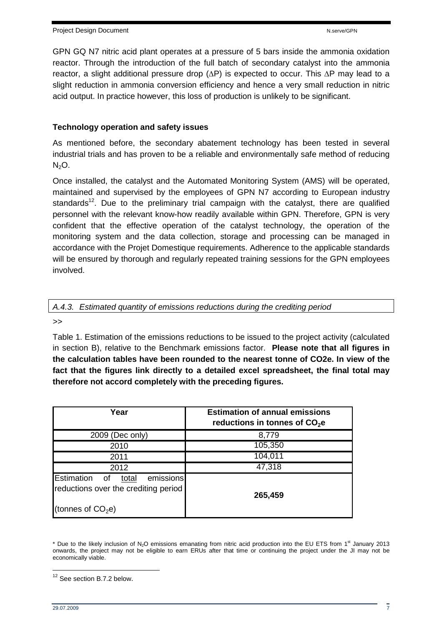GPN GQ N7 nitric acid plant operates at a pressure of 5 bars inside the ammonia oxidation reactor. Through the introduction of the full batch of secondary catalyst into the ammonia reactor, a slight additional pressure drop (∆P) is expected to occur. This ∆P may lead to a slight reduction in ammonia conversion efficiency and hence a very small reduction in nitric acid output. In practice however, this loss of production is unlikely to be significant.

#### **Technology operation and safety issues**

As mentioned before, the secondary abatement technology has been tested in several industrial trials and has proven to be a reliable and environmentally safe method of reducing  $N_2O$ .

Once installed, the catalyst and the Automated Monitoring System (AMS) will be operated, maintained and supervised by the employees of GPN N7 according to European industry standards<sup>12</sup>. Due to the preliminary trial campaign with the catalyst, there are qualified personnel with the relevant know-how readily available within GPN. Therefore, GPN is very confident that the effective operation of the catalyst technology, the operation of the monitoring system and the data collection, storage and processing can be managed in accordance with the Projet Domestique requirements. Adherence to the applicable standards will be ensured by thorough and regularly repeated training sessions for the GPN employees involved.

>>

Table 1. Estimation of the emissions reductions to be issued to the project activity (calculated in section B), relative to the Benchmark emissions factor. **Please note that all figures in the calculation tables have been rounded to the nearest tonne of CO2e. In view of the fact that the figures link directly to a detailed excel spreadsheet, the final total may therefore not accord completely with the preceding figures.** 

| Year                                                                                               | <b>Estimation of annual emissions</b><br>reductions in tonnes of $CO2e$ |
|----------------------------------------------------------------------------------------------------|-------------------------------------------------------------------------|
| 2009 (Dec only)                                                                                    | 8,779                                                                   |
| 2010                                                                                               | 105,350                                                                 |
| 2011                                                                                               | 104, 011                                                                |
| 2012                                                                                               | 47,318                                                                  |
| Estimation of<br>emissions<br>total<br>reductions over the crediting period<br>(tonnes of $CO2e$ ) | 265,459                                                                 |

<sup>\*</sup> Due to the likely inclusion of N<sub>2</sub>O emissions emanating from nitric acid production into the EU ETS from 1<sup>st</sup> January 2013 onwards, the project may not be eligible to earn ERUs after that time or continuing the project under the JI may not be economically viable.

A.4.3. Estimated quantity of emissions reductions during the crediting period

 <sup>12</sup> See section B.7.2 below.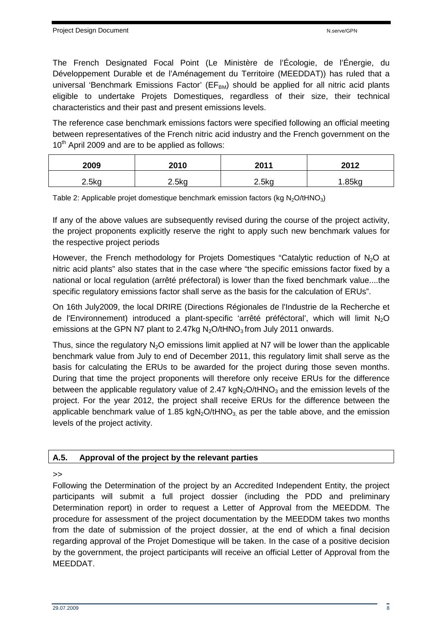The French Designated Focal Point (Le Ministère de l'Écologie, de l'Énergie, du Développement Durable et de l'Aménagement du Territoire (MEEDDAT)) has ruled that a universal 'Benchmark Emissions Factor' ( $EF<sub>BM</sub>$ ) should be applied for all nitric acid plants eligible to undertake Projets Domestiques, regardless of their size, their technical characteristics and their past and present emissions levels.

The reference case benchmark emissions factors were specified following an official meeting between representatives of the French nitric acid industry and the French government on the  $10<sup>th</sup>$  April 2009 and are to be applied as follows:

| 2009  | 2010  | 2011  | 2012   |
|-------|-------|-------|--------|
| 2.5kg | 2.5kg | 2.5kg | l 85ka |

Table 2: Applicable projet domestique benchmark emission factors (kg  $N_2O/tHNO_3$ )

If any of the above values are subsequently revised during the course of the project activity, the project proponents explicitly reserve the right to apply such new benchmark values for the respective project periods

However, the French methodology for Projets Domestiques "Catalytic reduction of  $N<sub>2</sub>O$  at nitric acid plants" also states that in the case where "the specific emissions factor fixed by a national or local regulation (arrêté préfectoral) is lower than the fixed benchmark value....the specific regulatory emissions factor shall serve as the basis for the calculation of ERUs".

On 16th July2009, the local DRIRE (Directions Régionales de l'Industrie de la Recherche et de l'Environnement) introduced a plant-specific 'arrêté préféctoral', which will limit  $N_2O$ emissions at the GPN N7 plant to 2.47kg  $N_2O/tHNO_3$  from July 2011 onwards.

Thus, since the regulatory  $N_2O$  emissions limit applied at N7 will be lower than the applicable benchmark value from July to end of December 2011, this regulatory limit shall serve as the basis for calculating the ERUs to be awarded for the project during those seven months. During that time the project proponents will therefore only receive ERUs for the difference between the applicable regulatory value of 2.47 kgN<sub>2</sub>O/tHNO<sub>3</sub> and the emission levels of the project. For the year 2012, the project shall receive ERUs for the difference between the applicable benchmark value of  $1.85 \text{ kgN}_2\text{O}/t\text{HNO}_3$  as per the table above, and the emission levels of the project activity.

#### **A.5. Approval of the project by the relevant parties**

#### >>

Following the Determination of the project by an Accredited Independent Entity, the project participants will submit a full project dossier (including the PDD and preliminary Determination report) in order to request a Letter of Approval from the MEEDDM. The procedure for assessment of the project documentation by the MEEDDM takes two months from the date of submission of the project dossier, at the end of which a final decision regarding approval of the Projet Domestique will be taken. In the case of a positive decision by the government, the project participants will receive an official Letter of Approval from the MEEDDAT.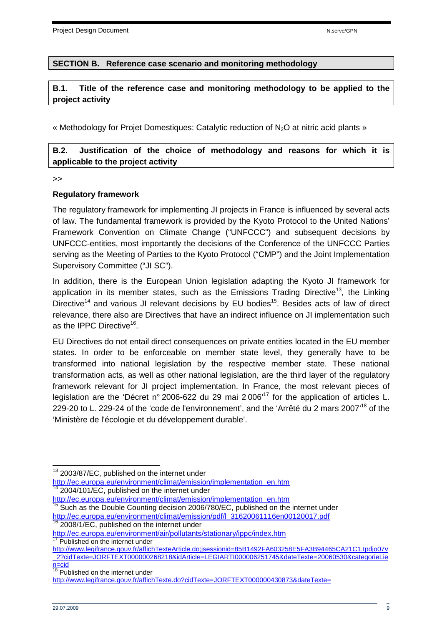#### **SECTION B. Reference case scenario and monitoring methodology**

## **B.1. Title of the reference case and monitoring methodology to be applied to the project activity**

« Methodology for Projet Domestiques: Catalytic reduction of N<sub>2</sub>O at nitric acid plants »

# **B.2. Justification of the choice of methodology and reasons for which it is applicable to the project activity**

>>

#### **Regulatory framework**

The regulatory framework for implementing JI projects in France is influenced by several acts of law. The fundamental framework is provided by the Kyoto Protocol to the United Nations' Framework Convention on Climate Change ("UNFCCC") and subsequent decisions by UNFCCC-entities, most importantly the decisions of the Conference of the UNFCCC Parties serving as the Meeting of Parties to the Kyoto Protocol ("CMP") and the Joint Implementation Supervisory Committee ("JI SC").

In addition, there is the European Union legislation adapting the Kyoto JI framework for application in its member states, such as the Emissions Trading Directive<sup>13</sup>, the Linking Directive<sup>14</sup> and various JI relevant decisions by EU bodies<sup>15</sup>. Besides acts of law of direct relevance, there also are Directives that have an indirect influence on JI implementation such as the IPPC Directive<sup>16</sup>.

EU Directives do not entail direct consequences on private entities located in the EU member states. In order to be enforceable on member state level, they generally have to be transformed into national legislation by the respective member state. These national transformation acts, as well as other national legislation, are the third layer of the regulatory framework relevant for JI project implementation. In France, the most relevant pieces of legislation are the 'Décret n° 2006-622 du 29 mai 2 006'<sup>17</sup> for the application of articles L. 229-20 to L. 229-24 of the 'code de l'environnement', and the 'Arrêté du 2 mars 2007<sup>18</sup> of the 'Ministère de l'écologie et du développement durable'.

http://ec.europa.eu/environment/climat/emission/implementation\_en.htm 2004/101/EC, published on the internet under

http://www.legifrance.gouv.fr/affichTexteArticle.do;jsessionid=85B1492FA603258E5FA3B94465CA21C1.tpdjo07v \_2?cidTexte=JORFTEXT000000268218&idArticle=LEGIARTI000006251745&dateTexte=20060530&categorieLie  $n = \text{cid}$ 

<sup>&</sup>lt;sup>13</sup> 2003/87/EC, published on the internet under

http://ec.europa.eu/environment/climat/emission/implementation\_en.htm  $15$  Such as the Double Counting decision 2006/780/EC, published on the internet under

http://ec.europa.eu/environment/climat/emission/pdf/l\_31620061116en00120017.pdf 2008/1/EC, published on the internet under

http://ec.europa.eu/environment/air/pollutants/stationary/ippc/index.htm<br><sup>17</sup> Published on the internet under

Published on the internet under

http://www.legifrance.gouv.fr/affichTexte.do?cidTexte=JORFTEXT000000430873&dateTexte=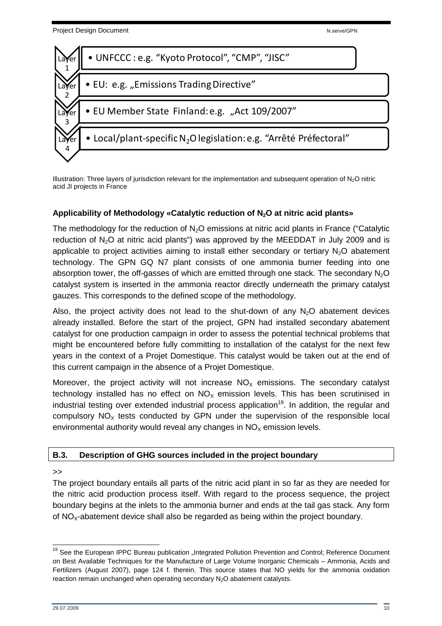

Illustration: Three layers of jurisdiction relevant for the implementation and subsequent operation of  $N_2O$  nitric acid JI projects in France

## **Applicability of Methodology «Catalytic reduction of N2O at nitric acid plants»**

The methodology for the reduction of  $N_2O$  emissions at nitric acid plants in France ("Catalytic reduction of  $N_2O$  at nitric acid plants") was approved by the MEEDDAT in July 2009 and is applicable to project activities aiming to install either secondary or tertiary  $N<sub>2</sub>O$  abatement technology. The GPN GQ N7 plant consists of one ammonia burner feeding into one absorption tower, the off-gasses of which are emitted through one stack. The secondary  $N<sub>2</sub>O$ catalyst system is inserted in the ammonia reactor directly underneath the primary catalyst gauzes. This corresponds to the defined scope of the methodology.

Also, the project activity does not lead to the shut-down of any  $N_2O$  abatement devices already installed. Before the start of the project, GPN had installed secondary abatement catalyst for one production campaign in order to assess the potential technical problems that might be encountered before fully committing to installation of the catalyst for the next few years in the context of a Projet Domestique. This catalyst would be taken out at the end of this current campaign in the absence of a Projet Domestique.

Moreover, the project activity will not increase  $NO<sub>x</sub>$  emissions. The secondary catalyst technology installed has no effect on  $NO<sub>x</sub>$  emission levels. This has been scrutinised in industrial testing over extended industrial process application<sup>19</sup>. In addition, the regular and compulsory  $NO<sub>x</sub>$  tests conducted by GPN under the supervision of the responsible local environmental authority would reveal any changes in  $NO<sub>x</sub>$  emission levels.

#### **B.3. Description of GHG sources included in the project boundary**

>>

The project boundary entails all parts of the nitric acid plant in so far as they are needed for the nitric acid production process itself. With regard to the process sequence, the project boundary begins at the inlets to the ammonia burner and ends at the tail gas stack. Any form of NO<sub>x</sub>-abatement device shall also be regarded as being within the project boundary.

 <sup>19</sup> See the European IPPC Bureau publication "Integrated Pollution Prevention and Control; Reference Document on Best Available Techniques for the Manufacture of Large Volume Inorganic Chemicals – Ammonia, Acids and Fertilizers (August 2007), page 124 f. therein. This source states that NO yields for the ammonia oxidation reaction remain unchanged when operating secondary N<sub>2</sub>O abatement catalysts.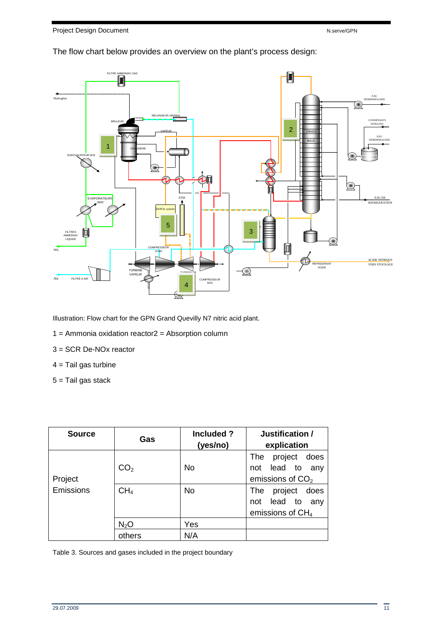The flow chart below provides an overview on the plant's process design:



Illustration: Flow chart for the GPN Grand Quevilly N7 nitric acid plant.

- 1 = Ammonia oxidation reactor2 = Absorption column
- 3 = SCR De-NOx reactor
- $4 =$ Tail gas turbine
- $5 =$ Tail gas stack

| <b>Source</b>        | Gas              | Included?<br>(yes/no) | Justification /<br>explication                                        |
|----------------------|------------------|-----------------------|-----------------------------------------------------------------------|
| Project<br>Emissions | $\mathsf{CO_2}$  | No                    | project<br>The<br>does<br>lead to<br>not<br>any<br>emissions of $CO2$ |
|                      | CH <sub>4</sub>  | No.                   | project<br>does<br>The<br>lead to<br>not<br>any<br>emissions of $CH4$ |
|                      | N <sub>2</sub> O | Yes                   |                                                                       |
|                      | others           | N/A                   |                                                                       |

Table 3. Sources and gases included in the project boundary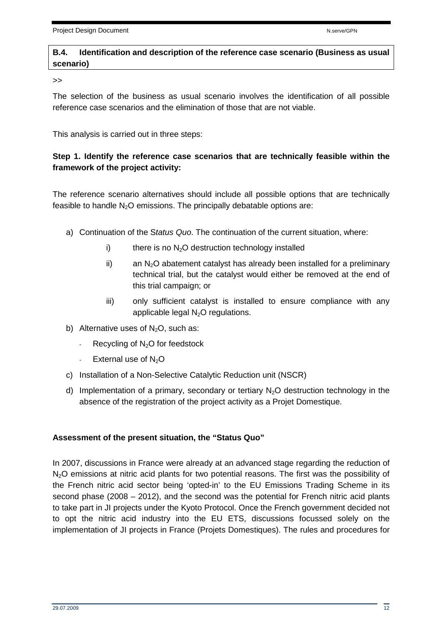## **B.4. Identification and description of the reference case scenario (Business as usual scenario)**

>>

The selection of the business as usual scenario involves the identification of all possible reference case scenarios and the elimination of those that are not viable.

This analysis is carried out in three steps:

## **Step 1. Identify the reference case scenarios that are technically feasible within the framework of the project activity:**

The reference scenario alternatives should include all possible options that are technically feasible to handle  $N_2O$  emissions. The principally debatable options are:

- a) Continuation of the Status Quo. The continuation of the current situation, where:
	- i) there is no  $N<sub>2</sub>O$  destruction technology installed
	- ii) an  $N_2O$  abatement catalyst has already been installed for a preliminary technical trial, but the catalyst would either be removed at the end of this trial campaign; or
	- iii) only sufficient catalyst is installed to ensure compliance with any applicable legal  $N_2O$  regulations.
- b) Alternative uses of  $N_2O$ , such as:
	- Recycling of  $N_2O$  for feedstock
	- External use of  $N_2O$
- c) Installation of a Non-Selective Catalytic Reduction unit (NSCR)
- d) Implementation of a primary, secondary or tertiary  $N_2O$  destruction technology in the absence of the registration of the project activity as a Projet Domestique.

#### **Assessment of the present situation, the "Status Quo"**

In 2007, discussions in France were already at an advanced stage regarding the reduction of  $N<sub>2</sub>O$  emissions at nitric acid plants for two potential reasons. The first was the possibility of the French nitric acid sector being 'opted-in' to the EU Emissions Trading Scheme in its second phase (2008 – 2012), and the second was the potential for French nitric acid plants to take part in JI projects under the Kyoto Protocol. Once the French government decided not to opt the nitric acid industry into the EU ETS, discussions focussed solely on the implementation of JI projects in France (Projets Domestiques). The rules and procedures for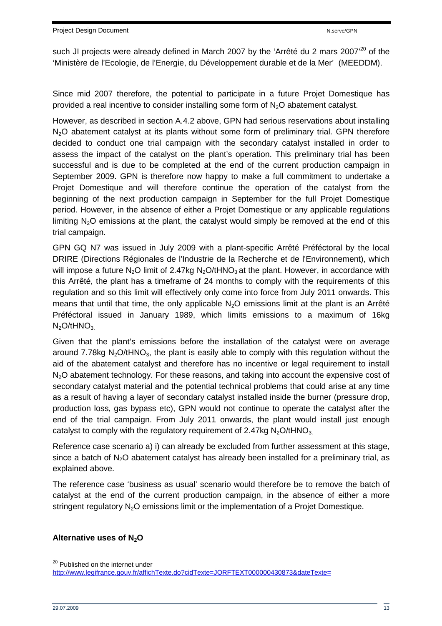such JI projects were already defined in March 2007 by the 'Arrêté du 2 mars 2007<sup>'20</sup> of the 'Ministère de l'Ecologie, de l'Energie, du Développement durable et de la Mer' (MEEDDM).

Since mid 2007 therefore, the potential to participate in a future Projet Domestique has provided a real incentive to consider installing some form of  $N_2O$  abatement catalyst.

However, as described in section A.4.2 above, GPN had serious reservations about installing  $N<sub>2</sub>O$  abatement catalyst at its plants without some form of preliminary trial. GPN therefore decided to conduct one trial campaign with the secondary catalyst installed in order to assess the impact of the catalyst on the plant's operation. This preliminary trial has been successful and is due to be completed at the end of the current production campaign in September 2009. GPN is therefore now happy to make a full commitment to undertake a Projet Domestique and will therefore continue the operation of the catalyst from the beginning of the next production campaign in September for the full Projet Domestique period. However, in the absence of either a Projet Domestique or any applicable regulations limiting  $N_2O$  emissions at the plant, the catalyst would simply be removed at the end of this trial campaign.

GPN GQ N7 was issued in July 2009 with a plant-specific Arrêté Préféctoral by the local DRIRE (Directions Régionales de l'Industrie de la Recherche et de l'Environnement), which will impose a future N<sub>2</sub>O limit of 2.47kg N<sub>2</sub>O/tHNO<sub>3</sub> at the plant. However, in accordance with this Arrêté, the plant has a timeframe of 24 months to comply with the requirements of this regulation and so this limit will effectively only come into force from July 2011 onwards. This means that until that time, the only applicable  $N_2O$  emissions limit at the plant is an Arrêté Préféctoral issued in January 1989, which limits emissions to a maximum of 16kg  $N_2$ O/tHNO<sub>3.</sub>

Given that the plant's emissions before the installation of the catalyst were on average around 7.78kg  $N_2O/HNO_3$ , the plant is easily able to comply with this regulation without the aid of the abatement catalyst and therefore has no incentive or legal requirement to install N<sub>2</sub>O abatement technology. For these reasons, and taking into account the expensive cost of secondary catalyst material and the potential technical problems that could arise at any time as a result of having a layer of secondary catalyst installed inside the burner (pressure drop, production loss, gas bypass etc), GPN would not continue to operate the catalyst after the end of the trial campaign. From July 2011 onwards, the plant would install just enough catalyst to comply with the regulatory requirement of 2.47kg  $N_2O/tHNO_3$ .

Reference case scenario a) i) can already be excluded from further assessment at this stage, since a batch of  $N<sub>2</sub>O$  abatement catalyst has already been installed for a preliminary trial, as explained above.

The reference case 'business as usual' scenario would therefore be to remove the batch of catalyst at the end of the current production campaign, in the absence of either a more stringent regulatory  $N_2O$  emissions limit or the implementation of a Projet Domestique.

## **Alternative uses of N2O**

 $\overline{\phantom{a}}$ <sup>20</sup> Published on the internet under

http://www.legifrance.gouv.fr/affichTexte.do?cidTexte=JORFTEXT000000430873&dateTexte=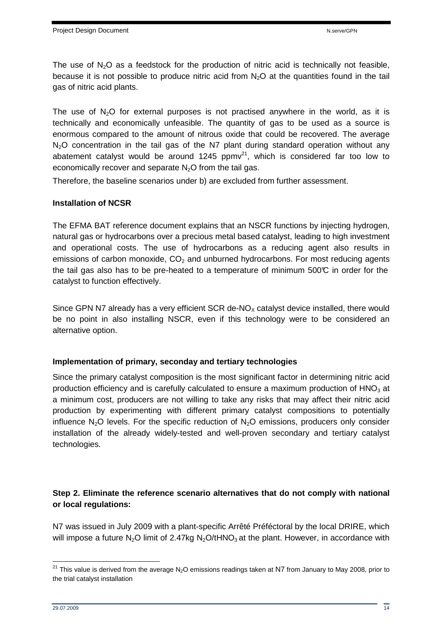The use of  $N_2O$  as a feedstock for the production of nitric acid is technically not feasible, because it is not possible to produce nitric acid from  $N_2O$  at the quantities found in the tail gas of nitric acid plants.

The use of  $N<sub>2</sub>O$  for external purposes is not practised anywhere in the world, as it is technically and economically unfeasible. The quantity of gas to be used as a source is enormous compared to the amount of nitrous oxide that could be recovered. The average  $N<sub>2</sub>O$  concentration in the tail gas of the N7 plant during standard operation without any abatement catalyst would be around  $1245$  ppmv $^{21}$ , which is considered far too low to economically recover and separate  $N<sub>2</sub>O$  from the tail gas.

Therefore, the baseline scenarios under b) are excluded from further assessment.

#### **Installation of NCSR**

The EFMA BAT reference document explains that an NSCR functions by injecting hydrogen, natural gas or hydrocarbons over a precious metal based catalyst, leading to high investment and operational costs. The use of hydrocarbons as a reducing agent also results in emissions of carbon monoxide,  $CO<sub>2</sub>$  and unburned hydrocarbons. For most reducing agents the tail gas also has to be pre-heated to a temperature of minimum  $500\degree$  in order for the catalyst to function effectively.

Since GPN N7 already has a very efficient SCR de-NO<sub>x</sub> catalyst device installed, there would be no point in also installing NSCR, even if this technology were to be considered an alternative option.

#### **Implementation of primary, seconday and tertiary technologies**

Since the primary catalyst composition is the most significant factor in determining nitric acid production efficiency and is carefully calculated to ensure a maximum production of  $HNO<sub>3</sub>$  at a minimum cost, producers are not willing to take any risks that may affect their nitric acid production by experimenting with different primary catalyst compositions to potentially influence  $N_2O$  levels. For the specific reduction of  $N_2O$  emissions, producers only consider installation of the already widely-tested and well-proven secondary and tertiary catalyst technologies.

## **Step 2. Eliminate the reference scenario alternatives that do not comply with national or local regulations:**

N7 was issued in July 2009 with a plant-specific Arrêté Préféctoral by the local DRIRE, which will impose a future N<sub>2</sub>O limit of 2.47kg N<sub>2</sub>O/tHNO<sub>3</sub> at the plant. However, in accordance with

 $\overline{a}$ 

<sup>&</sup>lt;sup>21</sup> This value is derived from the average N<sub>2</sub>O emissions readings taken at N7 from January to May 2008, prior to the trial catalyst installation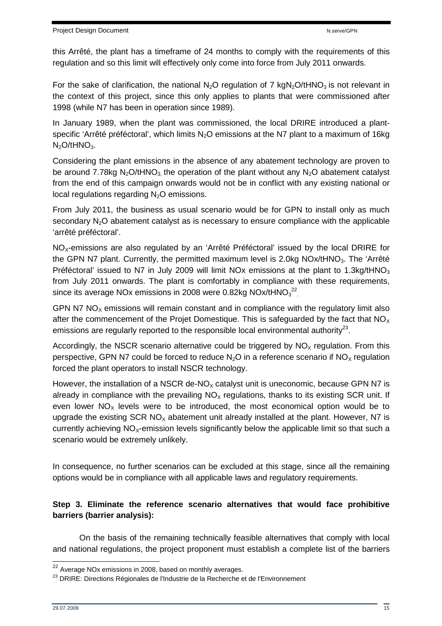this Arrêté, the plant has a timeframe of 24 months to comply with the requirements of this regulation and so this limit will effectively only come into force from July 2011 onwards.

For the sake of clarification, the national N<sub>2</sub>O regulation of 7 kgN<sub>2</sub>O/tHNO<sub>3</sub> is not relevant in the context of this project, since this only applies to plants that were commissioned after 1998 (while N7 has been in operation since 1989).

In January 1989, when the plant was commissioned, the local DRIRE introduced a plantspecific 'Arrêté préféctoral', which limits  $N<sub>2</sub>O$  emissions at the N7 plant to a maximum of 16kg  $N_2O/tHNO_3$ .

Considering the plant emissions in the absence of any abatement technology are proven to be around 7.78kg N<sub>2</sub>O/tHNO<sub>3</sub>, the operation of the plant without any N<sub>2</sub>O abatement catalyst from the end of this campaign onwards would not be in conflict with any existing national or local regulations regarding  $N<sub>2</sub>O$  emissions.

From July 2011, the business as usual scenario would be for GPN to install only as much secondary  $N_2O$  abatement catalyst as is necessary to ensure compliance with the applicable 'arrêté préféctoral'.

 $NO<sub>x</sub>$ -emissions are also regulated by an 'Arrêté Préféctoral' issued by the local DRIRE for the GPN N7 plant. Currently, the permitted maximum level is 2.0kg NOx/tHNO<sub>3</sub>. The 'Arrêté Préféctoral' issued to N7 in July 2009 will limit NOx emissions at the plant to 1.3kg/tHNO<sub>3</sub> from July 2011 onwards. The plant is comfortably in compliance with these requirements, since its average NOx emissions in 2008 were 0.82kg NOx/tHNO $_3^{22}$ 

GPN N7  $NO<sub>x</sub>$  emissions will remain constant and in compliance with the regulatory limit also after the commencement of the Projet Domestique. This is safeguarded by the fact that  $NO<sub>x</sub>$ emissions are regularly reported to the responsible local environmental authority $^{23}$ .

Accordingly, the NSCR scenario alternative could be triggered by  $NO<sub>x</sub>$  regulation. From this perspective, GPN N7 could be forced to reduce  $N_2O$  in a reference scenario if  $NO_\chi$  regulation forced the plant operators to install NSCR technology.

However, the installation of a NSCR de-NO<sub>x</sub> catalyst unit is uneconomic, because GPN N7 is already in compliance with the prevailing  $NO<sub>x</sub>$  regulations, thanks to its existing SCR unit. If even lower  $NO_x$  levels were to be introduced, the most economical option would be to upgrade the existing SCR  $NO<sub>x</sub>$  abatement unit already installed at the plant. However, N7 is currently achieving  $NO<sub>x</sub>$ -emission levels significantly below the applicable limit so that such a scenario would be extremely unlikely.

In consequence, no further scenarios can be excluded at this stage, since all the remaining options would be in compliance with all applicable laws and regulatory requirements.

## **Step 3. Eliminate the reference scenario alternatives that would face prohibitive barriers (barrier analysis):**

On the basis of the remaining technically feasible alternatives that comply with local and national regulations, the project proponent must establish a complete list of the barriers

 $\overline{\phantom{a}}$ 

 $^{22}$  Average NOx emissions in 2008, based on monthly averages.

<sup>&</sup>lt;sup>23</sup> DRIRE: Directions Régionales de l'Industrie de la Recherche et de l'Environnement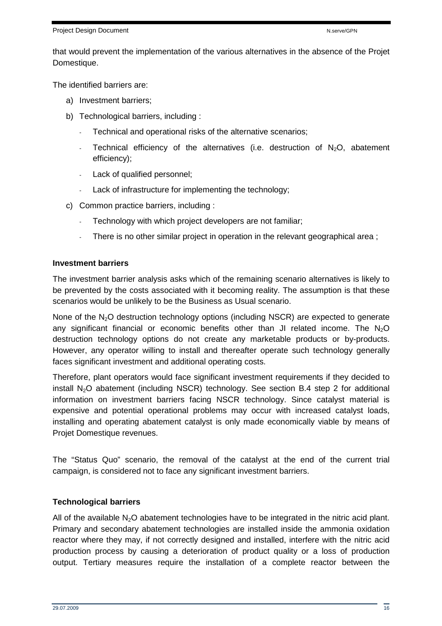that would prevent the implementation of the various alternatives in the absence of the Projet Domestique.

The identified barriers are:

- a) Investment barriers;
- b) Technological barriers, including :
	- Technical and operational risks of the alternative scenarios;
	- Technical efficiency of the alternatives (i.e. destruction of  $N_2O$ , abatement efficiency);
	- Lack of qualified personnel;
	- Lack of infrastructure for implementing the technology;
- c) Common practice barriers, including :
	- Technology with which project developers are not familiar;
	- There is no other similar project in operation in the relevant geographical area;

#### **Investment barriers**

The investment barrier analysis asks which of the remaining scenario alternatives is likely to be prevented by the costs associated with it becoming reality. The assumption is that these scenarios would be unlikely to be the Business as Usual scenario.

None of the  $N<sub>2</sub>O$  destruction technology options (including NSCR) are expected to generate any significant financial or economic benefits other than JI related income. The  $N_2O$ destruction technology options do not create any marketable products or by-products. However, any operator willing to install and thereafter operate such technology generally faces significant investment and additional operating costs.

Therefore, plant operators would face significant investment requirements if they decided to install  $N_2O$  abatement (including NSCR) technology. See section B.4 step 2 for additional information on investment barriers facing NSCR technology. Since catalyst material is expensive and potential operational problems may occur with increased catalyst loads, installing and operating abatement catalyst is only made economically viable by means of Projet Domestique revenues.

The "Status Quo" scenario, the removal of the catalyst at the end of the current trial campaign, is considered not to face any significant investment barriers.

#### **Technological barriers**

All of the available  $N<sub>2</sub>O$  abatement technologies have to be integrated in the nitric acid plant. Primary and secondary abatement technologies are installed inside the ammonia oxidation reactor where they may, if not correctly designed and installed, interfere with the nitric acid production process by causing a deterioration of product quality or a loss of production output. Tertiary measures require the installation of a complete reactor between the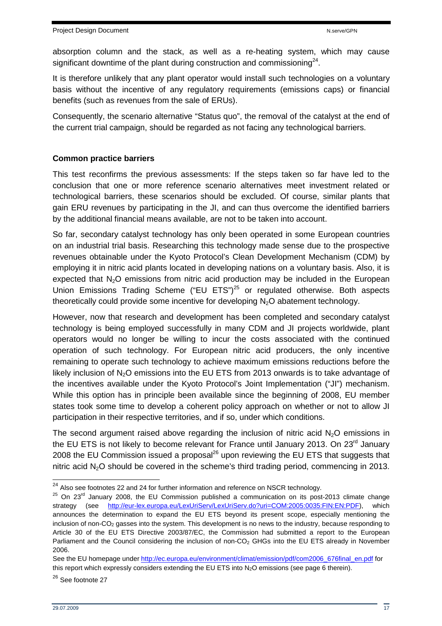absorption column and the stack, as well as a re-heating system, which may cause significant downtime of the plant during construction and commissioning $^{24}$ .

It is therefore unlikely that any plant operator would install such technologies on a voluntary basis without the incentive of any regulatory requirements (emissions caps) or financial benefits (such as revenues from the sale of ERUs).

Consequently, the scenario alternative "Status quo", the removal of the catalyst at the end of the current trial campaign, should be regarded as not facing any technological barriers.

## **Common practice barriers**

This test reconfirms the previous assessments: If the steps taken so far have led to the conclusion that one or more reference scenario alternatives meet investment related or technological barriers, these scenarios should be excluded. Of course, similar plants that gain ERU revenues by participating in the JI, and can thus overcome the identified barriers by the additional financial means available, are not to be taken into account.

So far, secondary catalyst technology has only been operated in some European countries on an industrial trial basis. Researching this technology made sense due to the prospective revenues obtainable under the Kyoto Protocol's Clean Development Mechanism (CDM) by employing it in nitric acid plants located in developing nations on a voluntary basis. Also, it is expected that  $N<sub>2</sub>O$  emissions from nitric acid production may be included in the European Union Emissions Trading Scheme ("EU ETS")<sup>25</sup> or regulated otherwise. Both aspects theoretically could provide some incentive for developing  $N_2O$  abatement technology.

However, now that research and development has been completed and secondary catalyst technology is being employed successfully in many CDM and JI projects worldwide, plant operators would no longer be willing to incur the costs associated with the continued operation of such technology. For European nitric acid producers, the only incentive remaining to operate such technology to achieve maximum emissions reductions before the likely inclusion of  $N<sub>2</sub>O$  emissions into the EU ETS from 2013 onwards is to take advantage of the incentives available under the Kyoto Protocol's Joint Implementation ("JI") mechanism. While this option has in principle been available since the beginning of 2008, EU member states took some time to develop a coherent policy approach on whether or not to allow JI participation in their respective territories, and if so, under which conditions.

The second argument raised above regarding the inclusion of nitric acid  $N_2O$  emissions in the EU ETS is not likely to become relevant for France until January 2013. On 23<sup>rd</sup> January 2008 the EU Commission issued a proposal<sup>26</sup> upon reviewing the EU ETS that suggests that nitric acid  $N_2O$  should be covered in the scheme's third trading period, commencing in 2013.

j  $^{24}$  Also see footnotes 22 and 24 for further information and reference on NSCR technology.

 $25$  On  $23<sup>rd</sup>$  Januarv 2008, the EU Commission published a communication on its post-2013 climate change strategy (see http://eur-lex.europa.eu/LexUriServ/LexUriServ.do?uri=COM:2005:0035:FIN:EN:PDF), which announces the determination to expand the EU ETS beyond its present scope, especially mentioning the inclusion of non-CO2 gasses into the system. This development is no news to the industry, because responding to Article 30 of the EU ETS Directive 2003/87/EC, the Commission had submitted a report to the European Parliament and the Council considering the inclusion of non-CO<sub>2</sub> GHGs into the EU ETS already in November 2006.

See the EU homepage under http://ec.europa.eu/environment/climat/emission/pdf/com2006\_676final\_en.pdf for this report which expressly considers extending the EU ETS into  $N<sub>2</sub>O$  emissions (see page 6 therein).

<sup>&</sup>lt;sup>26</sup> See footnote 27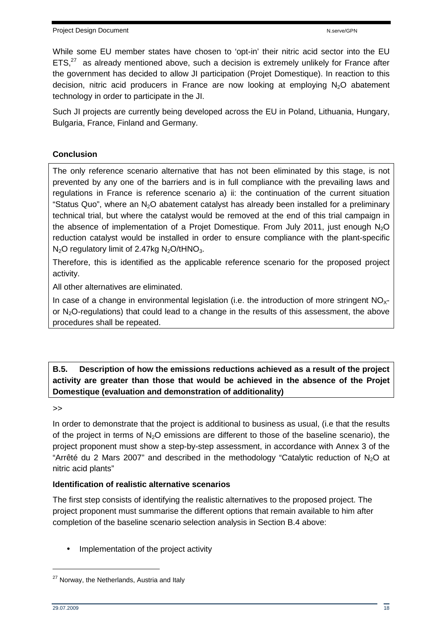While some EU member states have chosen to 'opt-in' their nitric acid sector into the EU  $ETS<sub>1</sub><sup>27</sup>$  as already mentioned above, such a decision is extremely unlikely for France after the government has decided to allow JI participation (Projet Domestique). In reaction to this decision, nitric acid producers in France are now looking at employing  $N_2O$  abatement technology in order to participate in the JI.

Such JI projects are currently being developed across the EU in Poland, Lithuania, Hungary, Bulgaria, France, Finland and Germany.

### **Conclusion**

The only reference scenario alternative that has not been eliminated by this stage, is not prevented by any one of the barriers and is in full compliance with the prevailing laws and regulations in France is reference scenario a) ii: the continuation of the current situation "Status Quo", where an  $N_2O$  abatement catalyst has already been installed for a preliminary technical trial, but where the catalyst would be removed at the end of this trial campaign in the absence of implementation of a Projet Domestique. From July 2011, just enough  $N<sub>2</sub>O$ reduction catalyst would be installed in order to ensure compliance with the plant-specific  $N_2O$  regulatory limit of 2.47kg  $N_2O/tHNO_3$ .

Therefore, this is identified as the applicable reference scenario for the proposed project activity.

All other alternatives are eliminated.

In case of a change in environmental legislation (i.e. the introduction of more stringent  $NO<sub>x</sub>$ or  $N<sub>2</sub>O$ -regulations) that could lead to a change in the results of this assessment, the above procedures shall be repeated.

**B.5. Description of how the emissions reductions achieved as a result of the project activity are greater than those that would be achieved in the absence of the Projet Domestique (evaluation and demonstration of additionality)** 

>>

In order to demonstrate that the project is additional to business as usual, (i.e that the results of the project in terms of  $N<sub>2</sub>O$  emissions are different to those of the baseline scenario), the project proponent must show a step-by-step assessment, in accordance with Annex 3 of the "Arrêté du 2 Mars 2007" and described in the methodology "Catalytic reduction of  $N_2O$  at nitric acid plants"

#### **Identification of realistic alternative scenarios**

The first step consists of identifying the realistic alternatives to the proposed project. The project proponent must summarise the different options that remain available to him after completion of the baseline scenario selection analysis in Section B.4 above:

• Implementation of the project activity

 $27$  Norway, the Netherlands, Austria and Italy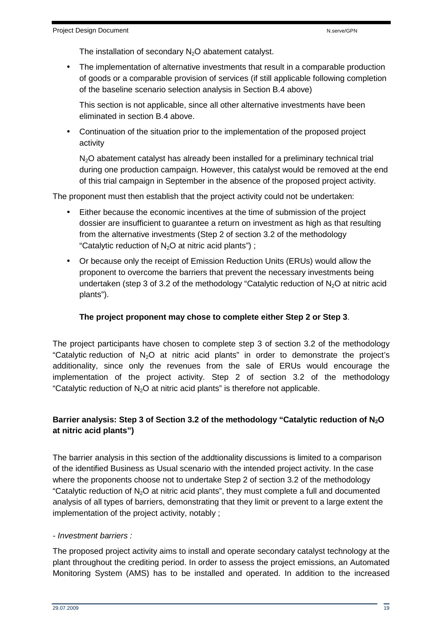The installation of secondary  $N_2O$  abatement catalyst.

• The implementation of alternative investments that result in a comparable production of goods or a comparable provision of services (if still applicable following completion of the baseline scenario selection analysis in Section B.4 above)

This section is not applicable, since all other alternative investments have been eliminated in section B.4 above.

• Continuation of the situation prior to the implementation of the proposed project activity

N<sub>2</sub>O abatement catalyst has already been installed for a preliminary technical trial during one production campaign. However, this catalyst would be removed at the end of this trial campaign in September in the absence of the proposed project activity.

The proponent must then establish that the project activity could not be undertaken:

- Either because the economic incentives at the time of submission of the project dossier are insufficient to guarantee a return on investment as high as that resulting from the alternative investments (Step 2 of section 3.2 of the methodology "Catalytic reduction of  $N_2O$  at nitric acid plants");
- Or because only the receipt of Emission Reduction Units (ERUs) would allow the proponent to overcome the barriers that prevent the necessary investments being undertaken (step 3 of 3.2 of the methodology "Catalytic reduction of  $N_2O$  at nitric acid plants").

#### **The project proponent may chose to complete either Step 2 or Step 3**.

The project participants have chosen to complete step 3 of section 3.2 of the methodology "Catalytic reduction of  $N_2O$  at nitric acid plants" in order to demonstrate the project's additionality, since only the revenues from the sale of ERUs would encourage the implementation of the project activity. Step 2 of section 3.2 of the methodology "Catalytic reduction of  $N_2O$  at nitric acid plants" is therefore not applicable.

## **Barrier analysis: Step 3 of Section 3.2 of the methodology "Catalytic reduction of N2O at nitric acid plants")**

The barrier analysis in this section of the addtionality discussions is limited to a comparison of the identified Business as Usual scenario with the intended project activity. In the case where the proponents choose not to undertake Step 2 of section 3.2 of the methodology "Catalytic reduction of  $N_2O$  at nitric acid plants", they must complete a full and documented analysis of all types of barriers, demonstrating that they limit or prevent to a large extent the implementation of the project activity, notably ;

#### - Investment barriers :

The proposed project activity aims to install and operate secondary catalyst technology at the plant throughout the crediting period. In order to assess the project emissions, an Automated Monitoring System (AMS) has to be installed and operated. In addition to the increased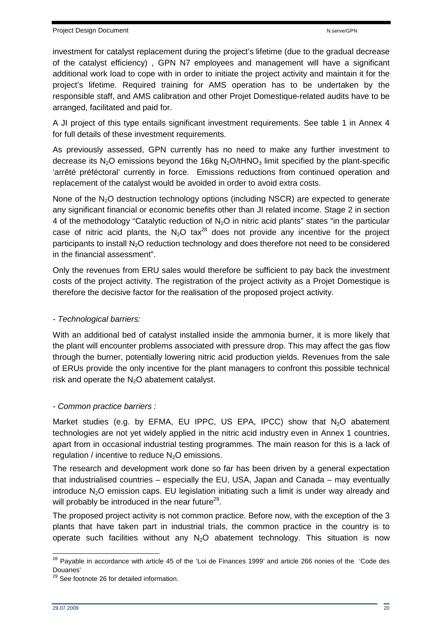investment for catalyst replacement during the project's lifetime (due to the gradual decrease of the catalyst efficiency) , GPN N7 employees and management will have a significant additional work load to cope with in order to initiate the project activity and maintain it for the project's lifetime. Required training for AMS operation has to be undertaken by the responsible staff, and AMS calibration and other Projet Domestique-related audits have to be arranged, facilitated and paid for.

A JI project of this type entails significant investment requirements. See table 1 in Annex 4 for full details of these investment requirements.

As previously assessed, GPN currently has no need to make any further investment to decrease its N<sub>2</sub>O emissions beyond the 16kg N<sub>2</sub>O/tHNO<sub>3</sub> limit specified by the plant-specific 'arrêté préféctoral' currently in force. Emissions reductions from continued operation and replacement of the catalyst would be avoided in order to avoid extra costs.

None of the  $N_2O$  destruction technology options (including NSCR) are expected to generate any significant financial or economic benefits other than JI related income. Stage 2 in section 4 of the methodology "Catalytic reduction of  $N<sub>2</sub>O$  in nitric acid plants" states "in the particular case of nitric acid plants, the  $N<sub>2</sub>O$  tax<sup>28</sup> does not provide any incentive for the project participants to install N<sub>2</sub>O reduction technology and does therefore not need to be considered in the financial assessment".

Only the revenues from ERU sales would therefore be sufficient to pay back the investment costs of the project activity. The registration of the project activity as a Projet Domestique is therefore the decisive factor for the realisation of the proposed project activity.

- Technological barriers:

With an additional bed of catalyst installed inside the ammonia burner, it is more likely that the plant will encounter problems associated with pressure drop. This may affect the gas flow through the burner, potentially lowering nitric acid production yields. Revenues from the sale of ERUs provide the only incentive for the plant managers to confront this possible technical risk and operate the  $N<sub>2</sub>O$  abatement catalyst.

#### - Common practice barriers :

Market studies (e.g. by EFMA, EU IPPC, US EPA, IPCC) show that  $N_2O$  abatement technologies are not yet widely applied in the nitric acid industry even in Annex 1 countries, apart from in occasional industrial testing programmes. The main reason for this is a lack of regulation / incentive to reduce  $N_2O$  emissions.

The research and development work done so far has been driven by a general expectation that industrialised countries – especially the EU, USA, Japan and Canada – may eventually introduce  $N_2O$  emission caps. EU legislation initiating such a limit is under way already and will probably be introduced in the near future $^{29}$ .

The proposed project activity is not common practice. Before now, with the exception of the 3 plants that have taken part in industrial trials, the common practice in the country is to operate such facilities without any  $N_2O$  abatement technology. This situation is now

  $^{28}$  Payable in accordance with article 45 of the 'Loi de Finances 1999' and article 266 nonies of the 'Code des Douanes'

<sup>&</sup>lt;sup>29</sup> See footnote 26 for detailed information.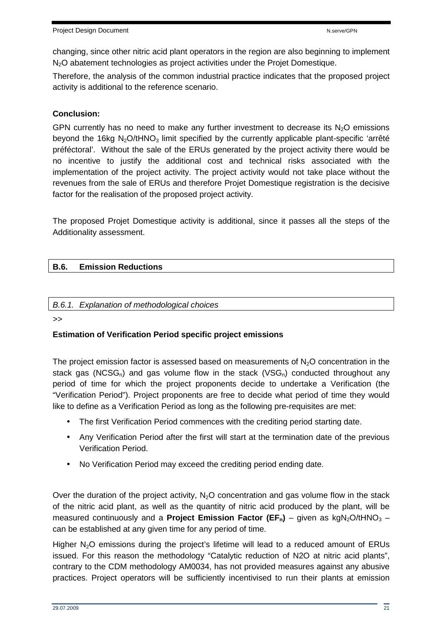changing, since other nitric acid plant operators in the region are also beginning to implement N2O abatement technologies as project activities under the Projet Domestique.

Therefore, the analysis of the common industrial practice indicates that the proposed project activity is additional to the reference scenario.

### **Conclusion:**

GPN currently has no need to make any further investment to decrease its  $N<sub>2</sub>O$  emissions beyond the 16kg N<sub>2</sub>O/tHNO<sub>3</sub> limit specified by the currently applicable plant-specific 'arrêté préféctoral'. Without the sale of the ERUs generated by the project activity there would be no incentive to justify the additional cost and technical risks associated with the implementation of the project activity. The project activity would not take place without the revenues from the sale of ERUs and therefore Projet Domestique registration is the decisive factor for the realisation of the proposed project activity.

The proposed Projet Domestique activity is additional, since it passes all the steps of the Additionality assessment.

## **B.6. Emission Reductions**

#### B.6.1. Explanation of methodological choices

#### >>

#### **Estimation of Verification Period specific project emissions**

The project emission factor is assessed based on measurements of  $N<sub>2</sub>O$  concentration in the stack gas (NCSG<sub>n</sub>) and gas volume flow in the stack (VSG<sub>n</sub>) conducted throughout any period of time for which the project proponents decide to undertake a Verification (the "Verification Period"). Project proponents are free to decide what period of time they would like to define as a Verification Period as long as the following pre-requisites are met:

- The first Verification Period commences with the crediting period starting date.
- Any Verification Period after the first will start at the termination date of the previous Verification Period.
- No Verification Period may exceed the crediting period ending date.

Over the duration of the project activity,  $N_2O$  concentration and gas volume flow in the stack of the nitric acid plant, as well as the quantity of nitric acid produced by the plant, will be measured continuously and a **Project Emission Factor (EF<sub>n</sub>)** – given as  $kgN<sub>2</sub>O/tHNO<sub>3</sub>$  – can be established at any given time for any period of time.

Higher  $N_2O$  emissions during the project's lifetime will lead to a reduced amount of ERUs issued. For this reason the methodology "Catalytic reduction of N2O at nitric acid plants", contrary to the CDM methodology AM0034, has not provided measures against any abusive practices. Project operators will be sufficiently incentivised to run their plants at emission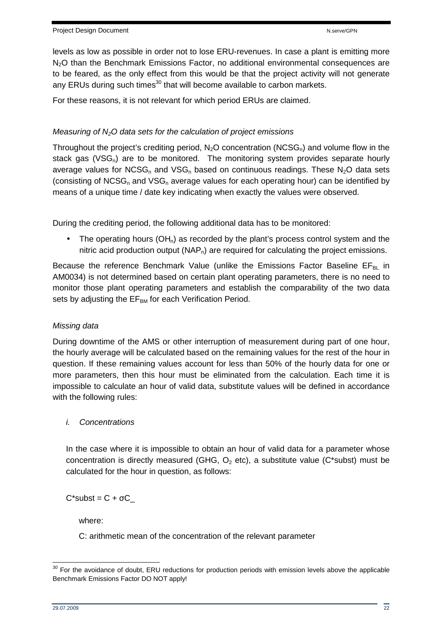levels as low as possible in order not to lose ERU-revenues. In case a plant is emitting more  $N<sub>2</sub>O$  than the Benchmark Emissions Factor, no additional environmental consequences are to be feared, as the only effect from this would be that the project activity will not generate any ERUs during such times<sup>30</sup> that will become available to carbon markets.

For these reasons, it is not relevant for which period ERUs are claimed.

#### Measuring of  $N<sub>2</sub>O$  data sets for the calculation of project emissions

Throughout the project's crediting period,  $N_2O$  concentration (NCSG<sub>n</sub>) and volume flow in the stack gas ( $VSG<sub>n</sub>$ ) are to be monitored. The monitoring system provides separate hourly average values for NCSG<sub>n</sub> and VSG<sub>n</sub> based on continuous readings. These N<sub>2</sub>O data sets (consisting of  $NCSG_n$  and  $VSG_n$  average values for each operating hour) can be identified by means of a unique time / date key indicating when exactly the values were observed.

During the crediting period, the following additional data has to be monitored:

• The operating hours  $(OH_n)$  as recorded by the plant's process control system and the nitric acid production output  $(NAP_n)$  are required for calculating the project emissions.

Because the reference Benchmark Value (unlike the Emissions Factor Baseline  $EF_{B}$  in AM0034) is not determined based on certain plant operating parameters, there is no need to monitor those plant operating parameters and establish the comparability of the two data sets by adjusting the  $EF_{BM}$  for each Verification Period.

#### Missing data

During downtime of the AMS or other interruption of measurement during part of one hour, the hourly average will be calculated based on the remaining values for the rest of the hour in question. If these remaining values account for less than 50% of the hourly data for one or more parameters, then this hour must be eliminated from the calculation. Each time it is impossible to calculate an hour of valid data, substitute values will be defined in accordance with the following rules:

#### i. Concentrations

In the case where it is impossible to obtain an hour of valid data for a parameter whose concentration is directly measured (GHG,  $O<sub>2</sub>$  etc), a substitute value (C\*subst) must be calculated for the hour in question, as follows:

 $C^*$ subst =  $C + \sigma C$ 

where:

C: arithmetic mean of the concentration of the relevant parameter

  $30$  For the avoidance of doubt, ERU reductions for production periods with emission levels above the applicable Benchmark Emissions Factor DO NOT apply!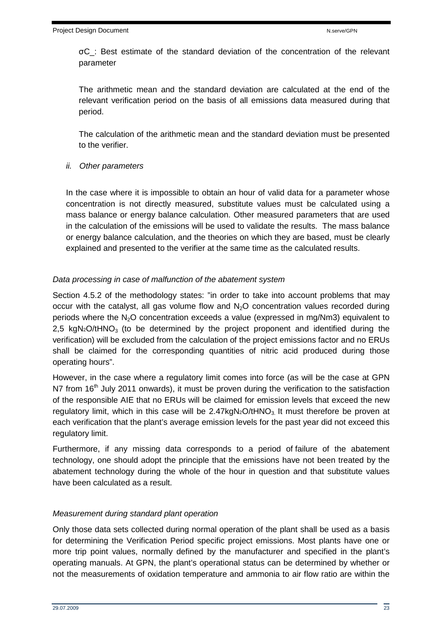σC\_: Best estimate of the standard deviation of the concentration of the relevant parameter

The arithmetic mean and the standard deviation are calculated at the end of the relevant verification period on the basis of all emissions data measured during that period.

The calculation of the arithmetic mean and the standard deviation must be presented to the verifier.

ii. Other parameters

In the case where it is impossible to obtain an hour of valid data for a parameter whose concentration is not directly measured, substitute values must be calculated using a mass balance or energy balance calculation. Other measured parameters that are used in the calculation of the emissions will be used to validate the results. The mass balance or energy balance calculation, and the theories on which they are based, must be clearly explained and presented to the verifier at the same time as the calculated results.

## Data processing in case of malfunction of the abatement system

Section 4.5.2 of the methodology states: "in order to take into account problems that may occur with the catalyst, all gas volume flow and N2O concentration values recorded during periods where the  $N_2O$  concentration exceeds a value (expressed in mg/Nm3) equivalent to 2,5 kgN<sub>2</sub>O/tHNO<sub>3</sub> (to be determined by the project proponent and identified during the verification) will be excluded from the calculation of the project emissions factor and no ERUs shall be claimed for the corresponding quantities of nitric acid produced during those operating hours".

However, in the case where a regulatory limit comes into force (as will be the case at GPN N7 from 16<sup>th</sup> July 2011 onwards), it must be proven during the verification to the satisfaction of the responsible AIE that no ERUs will be claimed for emission levels that exceed the new regulatory limit, which in this case will be  $2.47kqN<sub>2</sub>O/tHNO<sub>3</sub>$  It must therefore be proven at each verification that the plant's average emission levels for the past year did not exceed this regulatory limit.

Furthermore, if any missing data corresponds to a period of failure of the abatement technology, one should adopt the principle that the emissions have not been treated by the abatement technology during the whole of the hour in question and that substitute values have been calculated as a result.

#### Measurement during standard plant operation

Only those data sets collected during normal operation of the plant shall be used as a basis for determining the Verification Period specific project emissions. Most plants have one or more trip point values, normally defined by the manufacturer and specified in the plant's operating manuals. At GPN, the plant's operational status can be determined by whether or not the measurements of oxidation temperature and ammonia to air flow ratio are within the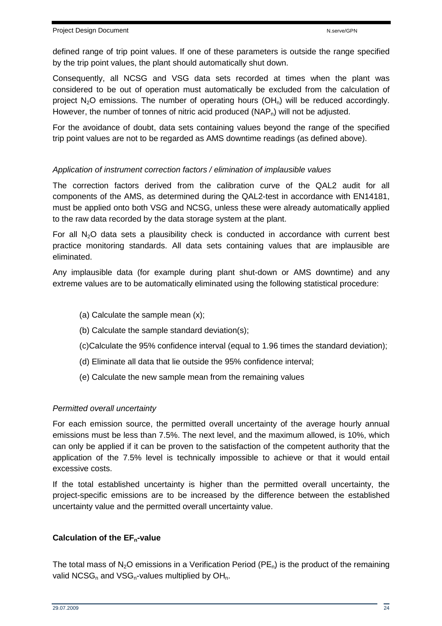defined range of trip point values. If one of these parameters is outside the range specified by the trip point values, the plant should automatically shut down.

Consequently, all NCSG and VSG data sets recorded at times when the plant was considered to be out of operation must automatically be excluded from the calculation of project  $N_2O$  emissions. The number of operating hours (OH<sub>n</sub>) will be reduced accordingly. However, the number of tonnes of nitric acid produced  $(NAP<sub>n</sub>)$  will not be adjusted.

For the avoidance of doubt, data sets containing values beyond the range of the specified trip point values are not to be regarded as AMS downtime readings (as defined above).

## Application of instrument correction factors / elimination of implausible values

The correction factors derived from the calibration curve of the QAL2 audit for all components of the AMS, as determined during the QAL2-test in accordance with EN14181, must be applied onto both VSG and NCSG, unless these were already automatically applied to the raw data recorded by the data storage system at the plant.

For all  $N_2O$  data sets a plausibility check is conducted in accordance with current best practice monitoring standards. All data sets containing values that are implausible are eliminated.

Any implausible data (for example during plant shut-down or AMS downtime) and any extreme values are to be automatically eliminated using the following statistical procedure:

- (a) Calculate the sample mean (x);
- (b) Calculate the sample standard deviation(s);
- (c)Calculate the 95% confidence interval (equal to 1.96 times the standard deviation);
- (d) Eliminate all data that lie outside the 95% confidence interval;
- (e) Calculate the new sample mean from the remaining values

#### Permitted overall uncertainty

For each emission source, the permitted overall uncertainty of the average hourly annual emissions must be less than 7.5%. The next level, and the maximum allowed, is 10%, which can only be applied if it can be proven to the satisfaction of the competent authority that the application of the 7.5% level is technically impossible to achieve or that it would entail excessive costs.

If the total established uncertainty is higher than the permitted overall uncertainty, the project-specific emissions are to be increased by the difference between the established uncertainty value and the permitted overall uncertainty value.

#### **Calculation of the EFn-value**

The total mass of  $N_2O$  emissions in a Verification Period (PE<sub>n</sub>) is the product of the remaining valid NCSG<sub>n</sub> and VSG<sub>n</sub>-values multiplied by  $OH<sub>n</sub>$ .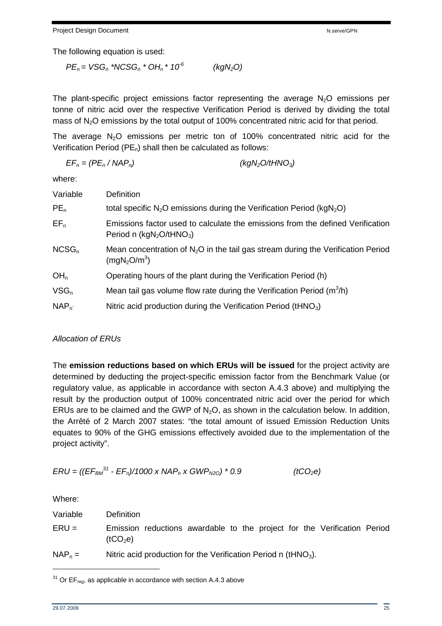The following equation is used:

 $PE_n = VSG_n$  \*NCSG<sub>n</sub> \* OH<sub>n</sub> \* 10<sup>-6</sup> (kgN<sub>2</sub>O)

The plant-specific project emissions factor representing the average  $N_2O$  emissions per tonne of nitric acid over the respective Verification Period is derived by dividing the total mass of  $N<sub>2</sub>O$  emissions by the total output of 100% concentrated nitric acid for that period.

The average  $N_2O$  emissions per metric ton of 100% concentrated nitric acid for the Verification Period ( $PE_n$ ) shall then be calculated as follows:

$$
EF_n = (PE_n / NAP_n)
$$
 (kgN<sub>2</sub>O/tHNO<sub>3</sub>)

where:

| Variable        | <b>Definition</b>                                                                                                          |
|-----------------|----------------------------------------------------------------------------------------------------------------------------|
| PE <sub>n</sub> | total specific $N_2O$ emissions during the Verification Period ( $kgN_2O$ )                                                |
| $EF_n$          | Emissions factor used to calculate the emissions from the defined Verification<br>Period n $(kgN_2O/tHNO_3)$               |
| $NCSG_n$        | Mean concentration of $N_2O$ in the tail gas stream during the Verification Period<br>(mgN <sub>2</sub> O/m <sup>3</sup> ) |
| OH <sub>n</sub> | Operating hours of the plant during the Verification Period (h)                                                            |
| $VSG_n$         | Mean tail gas volume flow rate during the Verification Period $(m^3/h)$                                                    |
| $NAP_n$         | Nitric acid production during the Verification Period (tHNO <sub>3</sub> )                                                 |

#### Allocation of ERUs

The **emission reductions based on which ERUs will be issued** for the project activity are determined by deducting the project-specific emission factor from the Benchmark Value (or regulatory value, as applicable in accordance with secton A.4.3 above) and multiplying the result by the production output of 100% concentrated nitric acid over the period for which ERUs are to be claimed and the GWP of  $N_2O$ , as shown in the calculation below. In addition, the Arrêté of 2 March 2007 states: "the total amount of issued Emission Reduction Units equates to 90% of the GHG emissions effectively avoided due to the implementation of the project activity".

$$
ERU = ((EFBM31 - EFn)/1000 \times NAPn \times GWPN2O) * 0.9
$$
 (tCO<sub>2</sub>e)

Where:

| Variable  | <b>Definition</b>                                                                                |
|-----------|--------------------------------------------------------------------------------------------------|
| $ERU =$   | Emission reductions awardable to the project for the Verification Period<br>(tCO <sub>2</sub> e) |
| $NAP_n =$ | Nitric acid production for the Verification Period n ( $tHNO3$ ).                                |

 $31$  Or EF<sub>reg</sub>, as applicable in accordance with section A.4.3 above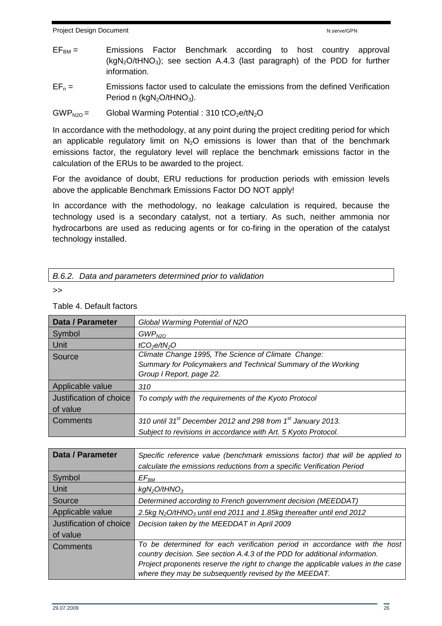- $EF<sub>BM</sub> =$  Emissions Factor Benchmark according to host country approval  $(kgN<sub>2</sub>O/tHNO<sub>3</sub>)$ ; see section A.4.3 (last paragraph) of the PDD for further information.
- $EF_n =$  Emissions factor used to calculate the emissions from the defined Verification Period n ( $kgN<sub>2</sub>O/tHNO<sub>3</sub>$ ).
- $GWP<sub>N2O</sub> =$  Global Warming Potential : 310 tCO<sub>2</sub>e/tN<sub>2</sub>O

In accordance with the methodology, at any point during the project crediting period for which an applicable regulatory limit on  $N_2O$  emissions is lower than that of the benchmark emissions factor, the regulatory level will replace the benchmark emissions factor in the calculation of the ERUs to be awarded to the project.

For the avoidance of doubt, ERU reductions for production periods with emission levels above the applicable Benchmark Emissions Factor DO NOT apply!

In accordance with the methodology, no leakage calculation is required, because the technology used is a secondary catalyst, not a tertiary. As such, neither ammonia nor hydrocarbons are used as reducing agents or for co-firing in the operation of the catalyst technology installed.

|  | B.6.2. Data and parameters determined prior to validation |  |  |
|--|-----------------------------------------------------------|--|--|
|  |                                                           |  |  |

>>

| Table 4. Default factors |
|--------------------------|
|--------------------------|

| Data / Parameter        | Global Warming Potential of N2O                                                     |
|-------------------------|-------------------------------------------------------------------------------------|
| Symbol                  | GWP <sub>N20</sub>                                                                  |
| Unit                    | tCO <sub>2</sub> e/tN <sub>2</sub> O                                                |
| Source                  | Climate Change 1995, The Science of Climate Change:                                 |
|                         | Summary for Policymakers and Technical Summary of the Working                       |
|                         | Group I Report, page 22.                                                            |
| Applicable value        | 310                                                                                 |
| Justification of choice | To comply with the requirements of the Kyoto Protocol                               |
| of value                |                                                                                     |
| Comments                | 310 until 31 <sup>st</sup> December 2012 and 298 from 1 <sup>st</sup> January 2013. |
|                         | Subject to revisions in accordance with Art. 5 Kyoto Protocol.                      |

| Data / Parameter        | Specific reference value (benchmark emissions factor) that will be applied to    |
|-------------------------|----------------------------------------------------------------------------------|
|                         | calculate the emissions reductions from a specific Verification Period           |
| Symbol                  | $E F_{BM}$                                                                       |
| <b>Unit</b>             | kgN <sub>2</sub> O/tHNO <sub>3</sub>                                             |
| Source                  | Determined according to French government decision (MEEDDAT)                     |
| Applicable value        | 2.5kg $N_2O/tHNO_3$ until end 2011 and 1.85kg thereafter until end 2012          |
| Justification of choice | Decision taken by the MEEDDAT in April 2009                                      |
| of value                |                                                                                  |
| Comments                | To be determined for each verification period in accordance with the host        |
|                         | country decision. See section A.4.3 of the PDD for additional information.       |
|                         | Project proponents reserve the right to change the applicable values in the case |
|                         | where they may be subsequently revised by the MEEDAT.                            |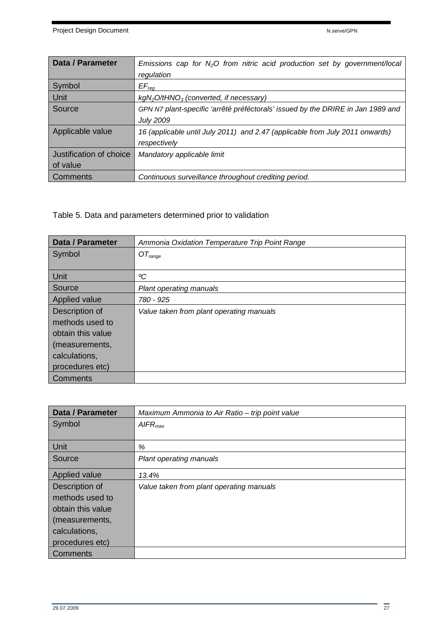| Data / Parameter        | Emissions cap for $N_2O$ from nitric acid production set by government/local    |
|-------------------------|---------------------------------------------------------------------------------|
|                         | regulation                                                                      |
| Symbol                  | $EF_{req}$                                                                      |
| Unit                    | $kgN2O/tHNO3$ (converted, if necessary)                                         |
| Source                  | GPN N7 plant-specific 'arrêté préféctorals' issued by the DRIRE in Jan 1989 and |
|                         | <b>July 2009</b>                                                                |
| Applicable value        | 16 (applicable until July 2011) and 2.47 (applicable from July 2011 onwards)    |
|                         | respectively                                                                    |
| Justification of choice | Mandatory applicable limit                                                      |
| of value                |                                                                                 |
| <b>Comments</b>         | Continuous surveillance throughout crediting period.                            |

Table 5. Data and parameters determined prior to validation

| <b>Data / Parameter</b> | Ammonia Oxidation Temperature Trip Point Range |
|-------------------------|------------------------------------------------|
| Symbol                  | $OT_{range}$                                   |
|                         |                                                |
| Unit                    | °C                                             |
| Source                  | <b>Plant operating manuals</b>                 |
| <b>Applied value</b>    | 780 - 925                                      |
| Description of          | Value taken from plant operating manuals       |
| methods used to         |                                                |
| obtain this value       |                                                |
| (measurements,          |                                                |
| calculations,           |                                                |
| procedures etc)         |                                                |
| Comments                |                                                |

| Data / Parameter  | Maximum Ammonia to Air Ratio - trip point value |
|-------------------|-------------------------------------------------|
| Symbol            | $AIFR_{max}$                                    |
|                   |                                                 |
| Unit              | %                                               |
| Source            | <b>Plant operating manuals</b>                  |
| Applied value     | 13.4%                                           |
| Description of    | Value taken from plant operating manuals        |
| methods used to   |                                                 |
| obtain this value |                                                 |
| (measurements,    |                                                 |
| calculations,     |                                                 |
| procedures etc)   |                                                 |
| Comments          |                                                 |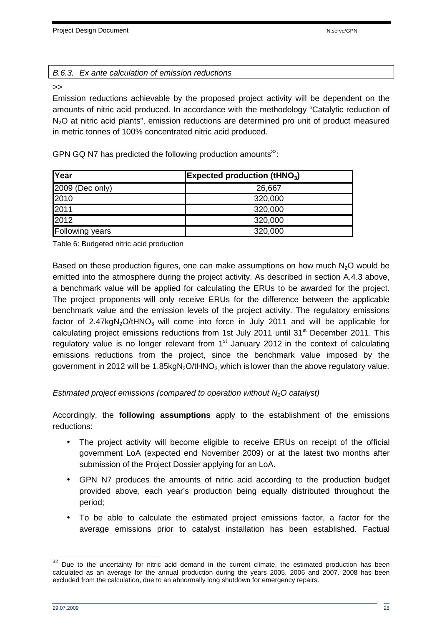#### B.6.3. Ex ante calculation of emission reductions

#### >>

Emission reductions achievable by the proposed project activity will be dependent on the amounts of nitric acid produced. In accordance with the methodology "Catalytic reduction of N<sub>2</sub>O at nitric acid plants", emission reductions are determined pro unit of product measured in metric tonnes of 100% concentrated nitric acid produced.

GPN GQ N7 has predicted the following production amounts $^{32}$ :

| Year                   | <b>Expected production (tHNO<sub>3</sub>)</b> |
|------------------------|-----------------------------------------------|
| 2009 (Dec only)        | 26,667                                        |
| 2010                   | 320,000                                       |
| 2011                   | 320,000                                       |
| 2012                   | 320,000                                       |
| <b>Following years</b> | 320,000                                       |

Table 6: Budgeted nitric acid production

Based on these production figures, one can make assumptions on how much  $N<sub>2</sub>O$  would be emitted into the atmosphere during the project activity. As described in section A.4.3 above, a benchmark value will be applied for calculating the ERUs to be awarded for the project. The project proponents will only receive ERUs for the difference between the applicable benchmark value and the emission levels of the project activity. The regulatory emissions factor of  $2.47kqN<sub>2</sub>O/tHNO<sub>3</sub>$  will come into force in July 2011 and will be applicable for calculating project emissions reductions from 1st July 2011 until 31<sup>st</sup> December 2011. This regulatory value is no longer relevant from  $1<sup>st</sup>$  January 2012 in the context of calculating emissions reductions from the project, since the benchmark value imposed by the government in 2012 will be 1.85kgN<sub>2</sub>O/tHNO<sub>3</sub> which is lower than the above regulatory value.

Estimated project emissions (compared to operation without  $N_2O$  catalyst)

Accordingly, the **following assumptions** apply to the establishment of the emissions reductions:

- The project activity will become eligible to receive ERUs on receipt of the official government LoA (expected end November 2009) or at the latest two months after submission of the Project Dossier applying for an LoA.
- GPN N7 produces the amounts of nitric acid according to the production budget provided above, each year's production being equally distributed throughout the period;
- To be able to calculate the estimated project emissions factor, a factor for the average emissions prior to catalyst installation has been established. Factual

<sup>32</sup> Due to the uncertainty for nitric acid demand in the current climate, the estimated production has been calculated as an average for the annual production during the years 2005, 2006 and 2007. 2008 has been excluded from the calculation, due to an abnormally long shutdown for emergency repairs.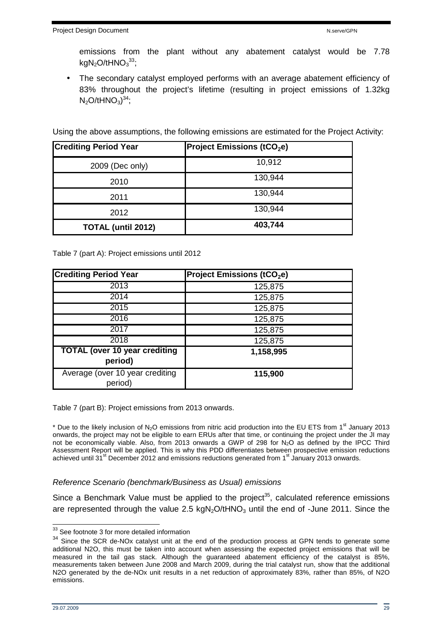emissions from the plant without any abatement catalyst would be 7.78 kgN<sub>2</sub>O/tHNO $_3^{33}$ ;

• The secondary catalyst employed performs with an average abatement efficiency of 83% throughout the project's lifetime (resulting in project emissions of 1.32kg  $N_2O/tHNO_3)^{34}$ ;

Using the above assumptions, the following emissions are estimated for the Project Activity:

| <b>Crediting Period Year</b> | <b>Project Emissions (tCO<sub>2</sub>e)</b> |
|------------------------------|---------------------------------------------|
| 2009 (Dec only)              | 10,912                                      |
| 2010                         | 130,944                                     |
| 2011                         | 130,944                                     |
| 2012                         | 130,944                                     |
| <b>TOTAL (until 2012)</b>    | 403,744                                     |

Table 7 (part A): Project emissions until 2012

| <b>Crediting Period Year</b>                    | <b>Project Emissions (tCO<sub>2</sub>e)</b> |
|-------------------------------------------------|---------------------------------------------|
| 2013                                            | 125,875                                     |
| 2014                                            | 125,875                                     |
| 2015                                            | 125,875                                     |
| 2016                                            | 125,875                                     |
| 2017                                            | 125,875                                     |
| 2018                                            | 125,875                                     |
| <b>TOTAL (over 10 year crediting</b><br>period) | 1,158,995                                   |
| Average (over 10 year crediting<br>period)      | 115,900                                     |

Table 7 (part B): Project emissions from 2013 onwards.

\* Due to the likely inclusion of N<sub>2</sub>O emissions from nitric acid production into the EU ETS from 1<sup>st</sup> January 2013 onwards, the project may not be eligible to earn ERUs after that time, or continuing the project under the JI may not be economically viable. Also, from 2013 onwards a GWP of 298 for N2O as defined by the IPCC Third Assessment Report will be applied. This is why this PDD differentiates between prospective emission reductions achieved until 31<sup>st</sup> December 2012 and emissions reductions generated from 1<sup>st</sup> January 2013 onwards.

#### Reference Scenario (benchmark/Business as Usual) emissions

Since a Benchmark Value must be applied to the project<sup>35</sup>, calculated reference emissions are represented through the value 2.5 kgN<sub>2</sub>O/tHNO<sub>3</sub> until the end of -June 2011. Since the

  $33$  See footnote 3 for more detailed information

<sup>&</sup>lt;sup>34</sup> Since the SCR de-NOx catalyst unit at the end of the production process at GPN tends to generate some additional N2O, this must be taken into account when assessing the expected project emissions that will be measured in the tail gas stack. Although the guaranteed abatement efficiency of the catalyst is 85%, measurements taken between June 2008 and March 2009, during the trial catalyst run, show that the additional N2O generated by the de-NOx unit results in a net reduction of approximately 83%, rather than 85%, of N2O emissions.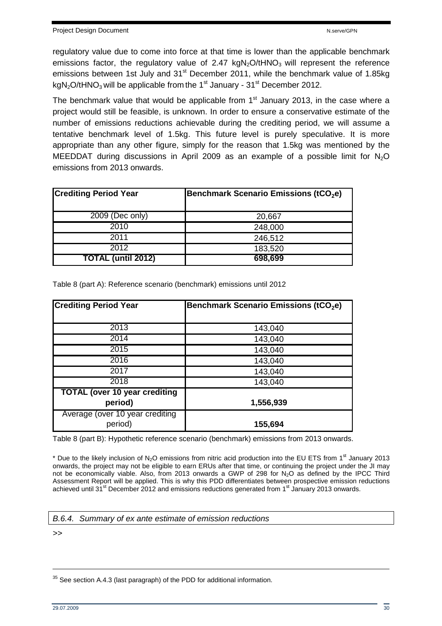regulatory value due to come into force at that time is lower than the applicable benchmark emissions factor, the regulatory value of 2.47 kgN<sub>2</sub>O/tHNO<sub>3</sub> will represent the reference emissions between 1st July and 31<sup>st</sup> December 2011, while the benchmark value of 1.85kg kgN<sub>2</sub>O/tHNO<sub>3</sub> will be applicable from the 1<sup>st</sup> January - 31<sup>st</sup> December 2012.

The benchmark value that would be applicable from  $1<sup>st</sup>$  January 2013, in the case where a project would still be feasible, is unknown. In order to ensure a conservative estimate of the number of emissions reductions achievable during the crediting period, we will assume a tentative benchmark level of 1.5kg. This future level is purely speculative. It is more appropriate than any other figure, simply for the reason that 1.5kg was mentioned by the MEEDDAT during discussions in April 2009 as an example of a possible limit for  $N<sub>2</sub>O$ emissions from 2013 onwards.

| <b>Crediting Period Year</b> | Benchmark Scenario Emissions (tCO <sub>2</sub> e) |
|------------------------------|---------------------------------------------------|
| 2009 (Dec only)              | 20,667                                            |
| 2010                         | 248,000                                           |
| 2011                         | 246,512                                           |
| 2012                         | 183,520                                           |
| TOTAL (until 2012)           | 698,699                                           |

Table 8 (part A): Reference scenario (benchmark) emissions until 2012

| <b>Crediting Period Year</b>                    | <b>Benchmark Scenario Emissions (tCO<sub>2</sub>e)</b> |
|-------------------------------------------------|--------------------------------------------------------|
| 2013                                            | 143,040                                                |
| 2014                                            | 143,040                                                |
| 2015                                            | 143,040                                                |
| 2016                                            | 143,040                                                |
| 2017                                            | 143,040                                                |
| 2018                                            | 143,040                                                |
| <b>TOTAL (over 10 year crediting</b><br>period) | 1,556,939                                              |
| Average (over 10 year crediting<br>period)      | 155,694                                                |

Table 8 (part B): Hypothetic reference scenario (benchmark) emissions from 2013 onwards.

\* Due to the likely inclusion of N<sub>2</sub>O emissions from nitric acid production into the EU ETS from 1<sup>st</sup> January 2013 onwards, the project may not be eligible to earn ERUs after that time, or continuing the project under the JI may not be economically viable. Also, from 2013 onwards a GWP of 298 for N<sub>2</sub>O as defined by the IPCC Third Assessment Report will be applied. This is why this PDD differentiates between prospective emission reductions achieved until 31<sup>st</sup> December 2012 and emissions reductions generated from 1<sup>st</sup> January 2013 onwards.

B.6.4. Summary of ex ante estimate of emission reductions

>>

 $35$  See section A.4.3 (last paragraph) of the PDD for additional information.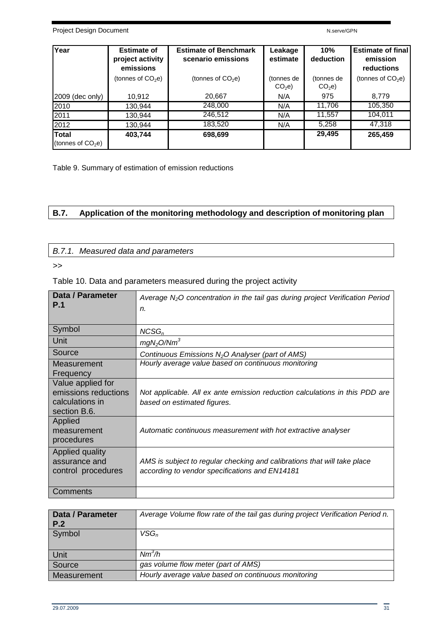| Year                                | <b>Estimate of</b><br>project activity<br>emissions | <b>Estimate of Benchmark</b><br>scenario emissions | Leakage<br>estimate             | 10%<br>deduction                | <b>Estimate of final</b><br>emission<br><b>reductions</b> |
|-------------------------------------|-----------------------------------------------------|----------------------------------------------------|---------------------------------|---------------------------------|-----------------------------------------------------------|
|                                     | (tonnes of CO <sub>2</sub> e)                       | (tonnes of $CO2e$ )                                | (tonnes de<br>CO <sub>2</sub> e | (tonnes de<br>CO <sub>2</sub> e | (tonnes of $CO2e$ )                                       |
| 2009 (dec only)                     | 10,912                                              | 20,667                                             | N/A                             | 975                             | 8,779                                                     |
| 2010                                | 130,944                                             | 248,000                                            | N/A                             | 11,706                          | 105,350                                                   |
| 2011                                | 130,944                                             | 246,512                                            | N/A                             | 11,557                          | 104,011                                                   |
| 2012                                | 130,944                                             | 183,520                                            | N/A                             | 5,258                           | 47,318                                                    |
| <b>Total</b><br>(tonnes of $CO2e$ ) | 403,744                                             | 698,699                                            |                                 | 29.495                          | 265,459                                                   |

Table 9. Summary of estimation of emission reductions

# **B.7. Application of the monitoring methodology and description of monitoring plan**

#### B.7.1. Measured data and parameters

>>

## Table 10. Data and parameters measured during the project activity

| Data / Parameter<br><b>P.1</b>                                               | Average $N2O$ concentration in the tail gas during project Verification Period<br>n.                                       |
|------------------------------------------------------------------------------|----------------------------------------------------------------------------------------------------------------------------|
| Symbol                                                                       | $NCSG_n$                                                                                                                   |
| Unit                                                                         | mqN <sub>2</sub> O/Nm <sup>3</sup>                                                                                         |
| Source                                                                       | Continuous Emissions $N_2O$ Analyser (part of AMS)                                                                         |
| Measurement<br>Frequency                                                     | Hourly average value based on continuous monitoring                                                                        |
| Value applied for<br>emissions reductions<br>calculations in<br>section B.6. | Not applicable. All ex ante emission reduction calculations in this PDD are<br>based on estimated figures.                 |
| Applied<br>measurement<br>procedures                                         | Automatic continuous measurement with hot extractive analyser                                                              |
| Applied quality<br>assurance and<br>control procedures                       | AMS is subject to regular checking and calibrations that will take place<br>according to vendor specifications and EN14181 |
| Comments                                                                     |                                                                                                                            |

| Data / Parameter<br>P.2 | Average Volume flow rate of the tail gas during project Verification Period n. |
|-------------------------|--------------------------------------------------------------------------------|
| Symbol                  | $VSG_n$                                                                        |
| Unit                    | Nm <sup>3</sup> /h                                                             |
| Source                  | gas volume flow meter (part of AMS)                                            |
| Measurement             | Hourly average value based on continuous monitoring                            |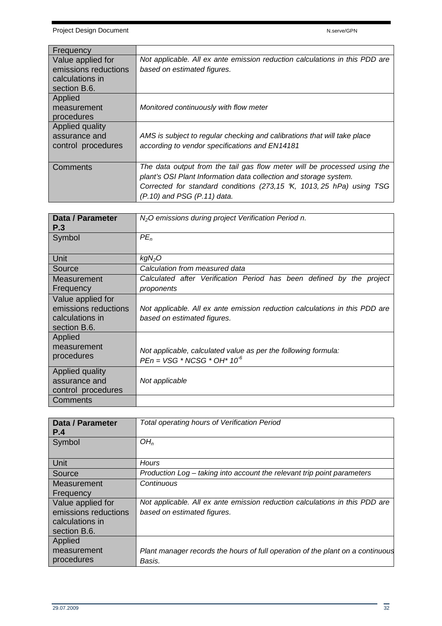| Frequency              |                                                                             |
|------------------------|-----------------------------------------------------------------------------|
| Value applied for      | Not applicable. All ex ante emission reduction calculations in this PDD are |
| emissions reductions   | based on estimated figures.                                                 |
| calculations in        |                                                                             |
| section B.6.           |                                                                             |
| Applied                |                                                                             |
| measurement            | Monitored continuously with flow meter                                      |
| procedures             |                                                                             |
| <b>Applied quality</b> |                                                                             |
| assurance and          | AMS is subject to regular checking and calibrations that will take place    |
| control procedures     | according to vendor specifications and EN14181                              |
|                        |                                                                             |
| <b>Comments</b>        | The data output from the tail gas flow meter will be processed using the    |
|                        | plant's OSI Plant Information data collection and storage system.           |
|                        | Corrected for standard conditions (273,15 K, 1013, 25 hPa) using TSG        |
|                        | $(P.10)$ and PSG $(P.11)$ data.                                             |

| Data / Parameter<br><b>P.3</b> | N <sub>2</sub> O emissions during project Verification Period n.            |
|--------------------------------|-----------------------------------------------------------------------------|
| Symbol                         | $PE_n$                                                                      |
| Unit                           | kgN <sub>2</sub> O                                                          |
| Source                         | Calculation from measured data                                              |
| Measurement                    | Calculated after Verification Period has been defined by the project        |
| Frequency                      | proponents                                                                  |
| Value applied for              |                                                                             |
| emissions reductions           | Not applicable. All ex ante emission reduction calculations in this PDD are |
| calculations in                | based on estimated figures.                                                 |
| section B.6.                   |                                                                             |
| Applied                        |                                                                             |
| measurement                    | Not applicable, calculated value as per the following formula:              |
| procedures                     | $PEn = VSG * NCSG * OH* 106$                                                |
| Applied quality                |                                                                             |
| assurance and                  | Not applicable                                                              |
| control procedures             |                                                                             |
| Comments                       |                                                                             |

| Data / Parameter<br>P.4 | Total operating hours of Verification Period                                   |
|-------------------------|--------------------------------------------------------------------------------|
| Symbol                  | $OH_n$                                                                         |
| Unit                    | Hours                                                                          |
| Source                  | Production Log – taking into account the relevant trip point parameters        |
| Measurement             | Continuous                                                                     |
| Frequency               |                                                                                |
| Value applied for       | Not applicable. All ex ante emission reduction calculations in this PDD are    |
| emissions reductions    | based on estimated figures.                                                    |
| calculations in         |                                                                                |
| section B.6.            |                                                                                |
| Applied                 |                                                                                |
| measurement             | Plant manager records the hours of full operation of the plant on a continuous |
| procedures              | Basis.                                                                         |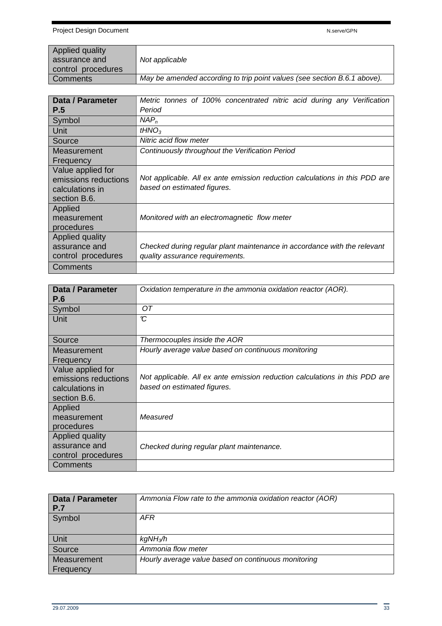| Applied quality    |                                                                          |
|--------------------|--------------------------------------------------------------------------|
| assurance and      | Not applicable                                                           |
| control procedures |                                                                          |
| Comments           | May be amended according to trip point values (see section B.6.1 above). |

| Data / Parameter     | Metric tonnes of 100% concentrated nitric acid during any Verification      |  |
|----------------------|-----------------------------------------------------------------------------|--|
| P.5                  | Period                                                                      |  |
| Symbol               | NAP <sub>n</sub>                                                            |  |
| Unit                 | tHNO <sub>3</sub>                                                           |  |
| Source               | Nitric acid flow meter                                                      |  |
| Measurement          | Continuously throughout the Verification Period                             |  |
| Frequency            |                                                                             |  |
| Value applied for    |                                                                             |  |
| emissions reductions | Not applicable. All ex ante emission reduction calculations in this PDD are |  |
| calculations in      | based on estimated figures.                                                 |  |
| section B.6.         |                                                                             |  |
| Applied              |                                                                             |  |
| measurement          | Monitored with an electromagnetic flow meter                                |  |
| procedures           |                                                                             |  |
| Applied quality      |                                                                             |  |
| assurance and        | Checked during regular plant maintenance in accordance with the relevant    |  |
| control procedures   | quality assurance requirements.                                             |  |
| Comments             |                                                                             |  |

| Data / Parameter<br><b>P.6</b>                                               | Oxidation temperature in the ammonia oxidation reactor (AOR).                                              |
|------------------------------------------------------------------------------|------------------------------------------------------------------------------------------------------------|
| Symbol                                                                       | ΟT                                                                                                         |
| Unit                                                                         | C                                                                                                          |
| Source                                                                       | Thermocouples inside the AOR                                                                               |
| Measurement<br>Frequency                                                     | Hourly average value based on continuous monitoring                                                        |
| Value applied for<br>emissions reductions<br>calculations in<br>section B.6. | Not applicable. All ex ante emission reduction calculations in this PDD are<br>based on estimated figures. |
| Applied<br>measurement<br>procedures                                         | Measured                                                                                                   |
| <b>Applied quality</b><br>assurance and<br>control procedures                | Checked during regular plant maintenance.                                                                  |
| Comments                                                                     |                                                                                                            |

| Data / Parameter<br><b>P.7</b> | Ammonia Flow rate to the ammonia oxidation reactor (AOR) |
|--------------------------------|----------------------------------------------------------|
| Symbol                         | AFR                                                      |
| Unit                           | kqNH <sub>3</sub> /h                                     |
| Source                         | Ammonia flow meter                                       |
| Measurement                    | Hourly average value based on continuous monitoring      |
| Frequency                      |                                                          |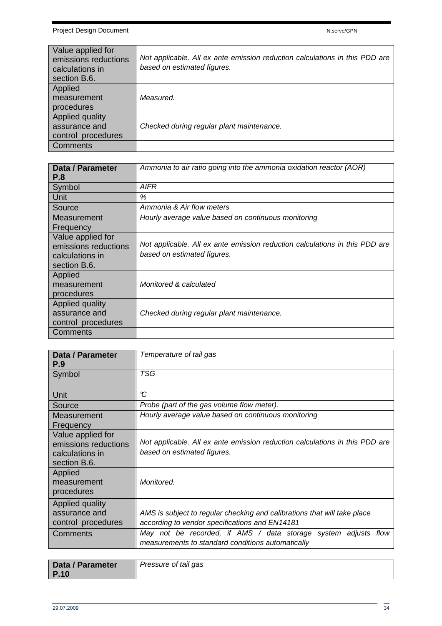| Value applied for<br>emissions reductions<br>calculations in<br>section B.6. | Not applicable. All ex ante emission reduction calculations in this PDD are<br>based on estimated figures. |
|------------------------------------------------------------------------------|------------------------------------------------------------------------------------------------------------|
| Applied                                                                      |                                                                                                            |
| measurement                                                                  | Measured.                                                                                                  |
| procedures                                                                   |                                                                                                            |
| Applied quality                                                              |                                                                                                            |
| assurance and                                                                | Checked during regular plant maintenance.                                                                  |
| control procedures                                                           |                                                                                                            |
| Comments                                                                     |                                                                                                            |

| Data / Parameter<br>P.8                                                      | Ammonia to air ratio going into the ammonia oxidation reactor (AOR)                                        |
|------------------------------------------------------------------------------|------------------------------------------------------------------------------------------------------------|
| Symbol                                                                       | AIFR                                                                                                       |
| Unit                                                                         | ℅                                                                                                          |
| Source                                                                       | Ammonia & Air flow meters                                                                                  |
| Measurement<br>Frequency                                                     | Hourly average value based on continuous monitoring                                                        |
| Value applied for<br>emissions reductions<br>calculations in<br>section B.6. | Not applicable. All ex ante emission reduction calculations in this PDD are<br>based on estimated figures. |
| Applied<br>measurement<br>procedures                                         | Monitored & calculated                                                                                     |
| Applied quality<br>assurance and<br>control procedures                       | Checked during regular plant maintenance.                                                                  |
| Comments                                                                     |                                                                                                            |

| Data / Parameter<br>P.9                                                      | Temperature of tail gas                                                                                                                                                                         |  |
|------------------------------------------------------------------------------|-------------------------------------------------------------------------------------------------------------------------------------------------------------------------------------------------|--|
| Symbol                                                                       | TSG                                                                                                                                                                                             |  |
| Unit                                                                         | C                                                                                                                                                                                               |  |
| Source                                                                       | Probe (part of the gas volume flow meter).                                                                                                                                                      |  |
| Measurement                                                                  | Hourly average value based on continuous monitoring                                                                                                                                             |  |
| Frequency                                                                    |                                                                                                                                                                                                 |  |
| Value applied for<br>emissions reductions<br>calculations in<br>section B.6. | Not applicable. All ex ante emission reduction calculations in this PDD are<br>based on estimated figures.                                                                                      |  |
| Applied<br>measurement<br>procedures                                         | Monitored.                                                                                                                                                                                      |  |
| Applied quality<br>assurance and<br>control procedures<br>Comments           | AMS is subject to regular checking and calibrations that will take place<br>according to vendor specifications and EN14181<br>May not be recorded, if AMS / data storage system adjusts<br>flow |  |
|                                                                              | measurements to standard conditions automatically                                                                                                                                               |  |

| Data / Parameter | Pressure of tail gas |
|------------------|----------------------|
| <b>P.10</b>      |                      |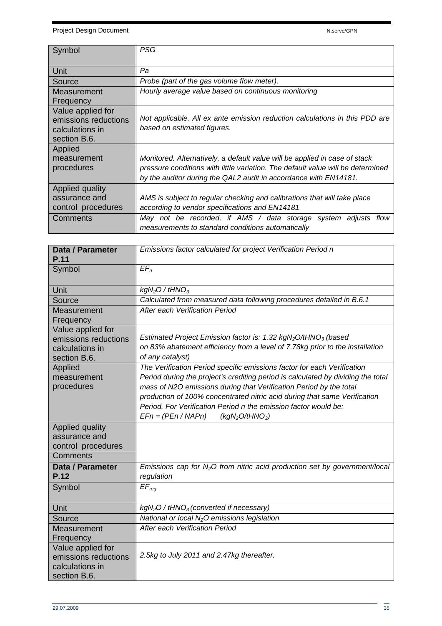| Symbol                                                                       | <b>PSG</b>                                                                                                                                                                                                                        |
|------------------------------------------------------------------------------|-----------------------------------------------------------------------------------------------------------------------------------------------------------------------------------------------------------------------------------|
| Unit                                                                         | Pa                                                                                                                                                                                                                                |
| Source                                                                       | Probe (part of the gas volume flow meter).                                                                                                                                                                                        |
| Measurement                                                                  | Hourly average value based on continuous monitoring                                                                                                                                                                               |
| Frequency                                                                    |                                                                                                                                                                                                                                   |
| Value applied for<br>emissions reductions<br>calculations in<br>section B.6. | Not applicable. All ex ante emission reduction calculations in this PDD are<br>based on estimated figures.                                                                                                                        |
| Applied                                                                      |                                                                                                                                                                                                                                   |
| measurement<br>procedures                                                    | Monitored. Alternatively, a default value will be applied in case of stack<br>pressure conditions with little variation. The default value will be determined<br>by the auditor during the QAL2 audit in accordance with EN14181. |
| Applied quality                                                              |                                                                                                                                                                                                                                   |
| assurance and                                                                | AMS is subject to regular checking and calibrations that will take place                                                                                                                                                          |
| control procedures                                                           | according to vendor specifications and EN14181                                                                                                                                                                                    |
| Comments                                                                     | May not be recorded, if AMS / data storage system adjusts<br>flow<br>measurements to standard conditions automatically                                                                                                            |

| Data / Parameter<br>P.11                                                     | Emissions factor calculated for project Verification Period n                                                                                                                                                                                                                                                                                                                                                                                        |
|------------------------------------------------------------------------------|------------------------------------------------------------------------------------------------------------------------------------------------------------------------------------------------------------------------------------------------------------------------------------------------------------------------------------------------------------------------------------------------------------------------------------------------------|
| Symbol                                                                       | $EF_n$                                                                                                                                                                                                                                                                                                                                                                                                                                               |
| Unit                                                                         | $kgN_2O$ / tHNO <sub>3</sub>                                                                                                                                                                                                                                                                                                                                                                                                                         |
| Source                                                                       | Calculated from measured data following procedures detailed in B.6.1                                                                                                                                                                                                                                                                                                                                                                                 |
| Measurement<br>Frequency                                                     | After each Verification Period                                                                                                                                                                                                                                                                                                                                                                                                                       |
| Value applied for<br>emissions reductions<br>calculations in<br>section B.6. | Estimated Project Emission factor is: 1.32 kgN <sub>2</sub> O/tHNO <sub>3</sub> (based<br>on 83% abatement efficiency from a level of 7.78kg prior to the installation<br>of any catalyst)                                                                                                                                                                                                                                                           |
| Applied<br>measurement<br>procedures                                         | The Verification Period specific emissions factor for each Verification<br>Period during the project's crediting period is calculated by dividing the total<br>mass of N2O emissions during that Verification Period by the total<br>production of 100% concentrated nitric acid during that same Verification<br>Period. For Verification Period n the emission factor would be:<br>$EFn = (PEn / NAPn)$<br>(kgN <sub>2</sub> O/tHNO <sub>3</sub> ) |
| Applied quality<br>assurance and<br>control procedures                       |                                                                                                                                                                                                                                                                                                                                                                                                                                                      |
| Comments                                                                     |                                                                                                                                                                                                                                                                                                                                                                                                                                                      |
| Data / Parameter<br>P.12                                                     | Emissions cap for $N_2O$ from nitric acid production set by government/local<br>regulation                                                                                                                                                                                                                                                                                                                                                           |
| Symbol                                                                       | $EF_{req}$                                                                                                                                                                                                                                                                                                                                                                                                                                           |
| Unit                                                                         | $kgN2O / tHNO3$ (converted if necessary)                                                                                                                                                                                                                                                                                                                                                                                                             |
| Source                                                                       | National or local N <sub>2</sub> O emissions legislation                                                                                                                                                                                                                                                                                                                                                                                             |
| Measurement<br>Frequency                                                     | After each Verification Period                                                                                                                                                                                                                                                                                                                                                                                                                       |
| Value applied for<br>emissions reductions<br>calculations in<br>section B.6. | 2.5kg to July 2011 and 2.47kg thereafter.                                                                                                                                                                                                                                                                                                                                                                                                            |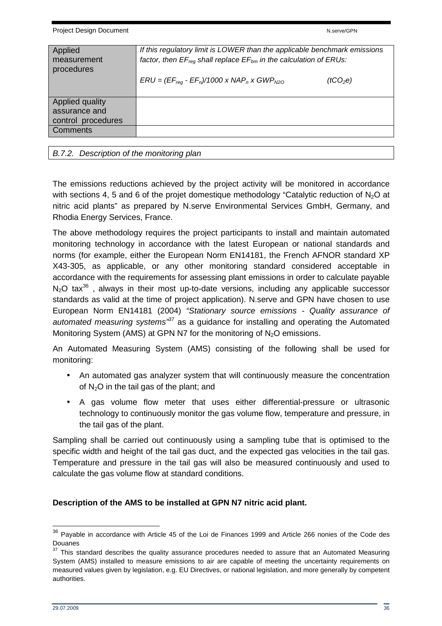Project Design Document National According to the New York of New York New York New York New York New York New York New York New York New York New York New York New York New York New York New York New York New York New Yor Applied measurement procedures If this regulatory limit is LOWER than the applicable benchmark emissions factor, then  $EF_{reg}$  shall replace  $EF_{bm}$  in the calculation of ERUs:  $ERU = (EF<sub>rea</sub> - EF<sub>n</sub>)/1000 x NAP<sub>n</sub> x GWP<sub>N20</sub>$  (tCO<sub>2</sub>e) Applied quality assurance and control procedures **Comments** 

#### B.7.2. Description of the monitoring plan

The emissions reductions achieved by the project activity will be monitored in accordance with sections 4, 5 and 6 of the projet domestique methodology "Catalytic reduction of  $N_2O$  at nitric acid plants" as prepared by N.serve Environmental Services GmbH, Germany, and Rhodia Energy Services, France.

The above methodology requires the project participants to install and maintain automated monitoring technology in accordance with the latest European or national standards and norms (for example, either the European Norm EN14181, the French AFNOR standard XP X43-305, as applicable, or any other monitoring standard considered acceptable in accordance with the requirements for assessing plant emissions in order to calculate payable  $N_2$ O tax<sup>36</sup>, always in their most up-to-date versions, including any applicable successor standards as valid at the time of project application). N.serve and GPN have chosen to use European Norm EN14181 (2004) "Stationary source emissions - Quality assurance of automated measuring systems<sup>37</sup> as a guidance for installing and operating the Automated Monitoring System (AMS) at GPN N7 for the monitoring of  $N<sub>2</sub>O$  emissions.

An Automated Measuring System (AMS) consisting of the following shall be used for monitoring:

- An automated gas analyzer system that will continuously measure the concentration of  $N<sub>2</sub>O$  in the tail gas of the plant; and
- A gas volume flow meter that uses either differential-pressure or ultrasonic technology to continuously monitor the gas volume flow, temperature and pressure, in the tail gas of the plant.

Sampling shall be carried out continuously using a sampling tube that is optimised to the specific width and height of the tail gas duct, and the expected gas velocities in the tail gas. Temperature and pressure in the tail gas will also be measured continuously and used to calculate the gas volume flow at standard conditions.

#### **Description of the AMS to be installed at GPN N7 nitric acid plant.**

 $36$  Payable in accordance with Article 45 of the Loi de Finances 1999 and Article 266 nonies of the Code des Douanes

<sup>&</sup>lt;sup>37</sup> This standard describes the quality assurance procedures needed to assure that an Automated Measuring System (AMS) installed to measure emissions to air are capable of meeting the uncertainty requirements on measured values given by legislation, e.g. EU Directives, or national legislation, and more generally by competent authorities.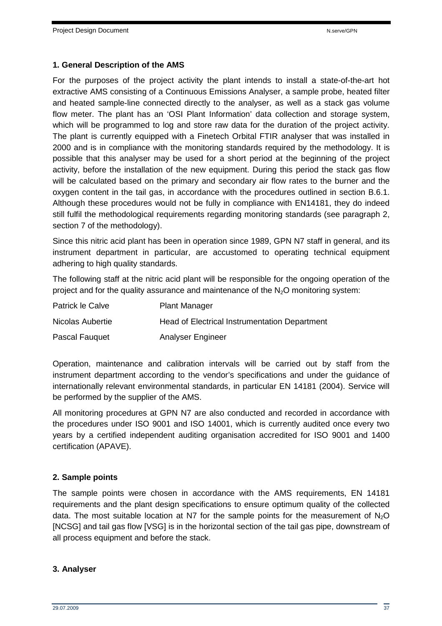#### **1. General Description of the AMS**

For the purposes of the project activity the plant intends to install a state-of-the-art hot extractive AMS consisting of a Continuous Emissions Analyser, a sample probe, heated filter and heated sample-line connected directly to the analyser, as well as a stack gas volume flow meter. The plant has an 'OSI Plant Information' data collection and storage system, which will be programmed to log and store raw data for the duration of the project activity. The plant is currently equipped with a Finetech Orbital FTIR analyser that was installed in 2000 and is in compliance with the monitoring standards required by the methodology. It is possible that this analyser may be used for a short period at the beginning of the project activity, before the installation of the new equipment. During this period the stack gas flow will be calculated based on the primary and secondary air flow rates to the burner and the oxygen content in the tail gas, in accordance with the procedures outlined in section B.6.1. Although these procedures would not be fully in compliance with EN14181, they do indeed still fulfil the methodological requirements regarding monitoring standards (see paragraph 2, section 7 of the methodology).

Since this nitric acid plant has been in operation since 1989, GPN N7 staff in general, and its instrument department in particular, are accustomed to operating technical equipment adhering to high quality standards.

The following staff at the nitric acid plant will be responsible for the ongoing operation of the project and for the quality assurance and maintenance of the  $N<sub>2</sub>O$  monitoring system:

| Patrick le Calve | <b>Plant Manager</b>                          |
|------------------|-----------------------------------------------|
| Nicolas Aubertie | Head of Electrical Instrumentation Department |
| Pascal Fauguet   | Analyser Engineer                             |

Operation, maintenance and calibration intervals will be carried out by staff from the instrument department according to the vendor's specifications and under the guidance of internationally relevant environmental standards, in particular EN 14181 (2004). Service will be performed by the supplier of the AMS.

All monitoring procedures at GPN N7 are also conducted and recorded in accordance with the procedures under ISO 9001 and ISO 14001, which is currently audited once every two years by a certified independent auditing organisation accredited for ISO 9001 and 1400 certification (APAVE).

#### **2. Sample points**

The sample points were chosen in accordance with the AMS requirements, EN 14181 requirements and the plant design specifications to ensure optimum quality of the collected data. The most suitable location at N7 for the sample points for the measurement of  $N_2O$ [NCSG] and tail gas flow [VSG] is in the horizontal section of the tail gas pipe, downstream of all process equipment and before the stack.

#### **3. Analyser**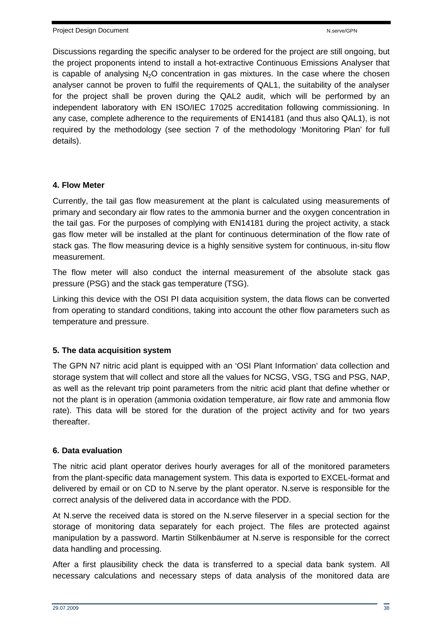Discussions regarding the specific analyser to be ordered for the project are still ongoing, but the project proponents intend to install a hot-extractive Continuous Emissions Analyser that is capable of analysing  $N_2O$  concentration in gas mixtures. In the case where the chosen analyser cannot be proven to fulfil the requirements of QAL1, the suitability of the analyser for the project shall be proven during the QAL2 audit, which will be performed by an independent laboratory with EN ISO/IEC 17025 accreditation following commissioning. In any case, complete adherence to the requirements of EN14181 (and thus also QAL1), is not required by the methodology (see section 7 of the methodology 'Monitoring Plan' for full details).

#### **4. Flow Meter**

Currently, the tail gas flow measurement at the plant is calculated using measurements of primary and secondary air flow rates to the ammonia burner and the oxygen concentration in the tail gas. For the purposes of complying with EN14181 during the project activity, a stack gas flow meter will be installed at the plant for continuous determination of the flow rate of stack gas. The flow measuring device is a highly sensitive system for continuous, in-situ flow measurement.

The flow meter will also conduct the internal measurement of the absolute stack gas pressure (PSG) and the stack gas temperature (TSG).

Linking this device with the OSI PI data acquisition system, the data flows can be converted from operating to standard conditions, taking into account the other flow parameters such as temperature and pressure.

#### **5. The data acquisition system**

The GPN N7 nitric acid plant is equipped with an 'OSI Plant Information' data collection and storage system that will collect and store all the values for NCSG, VSG, TSG and PSG, NAP, as well as the relevant trip point parameters from the nitric acid plant that define whether or not the plant is in operation (ammonia oxidation temperature, air flow rate and ammonia flow rate). This data will be stored for the duration of the project activity and for two years thereafter.

#### **6. Data evaluation**

The nitric acid plant operator derives hourly averages for all of the monitored parameters from the plant-specific data management system. This data is exported to EXCEL-format and delivered by email or on CD to N.serve by the plant operator. N.serve is responsible for the correct analysis of the delivered data in accordance with the PDD.

At N.serve the received data is stored on the N.serve fileserver in a special section for the storage of monitoring data separately for each project. The files are protected against manipulation by a password. Martin Stilkenbäumer at N.serve is responsible for the correct data handling and processing.

After a first plausibility check the data is transferred to a special data bank system. All necessary calculations and necessary steps of data analysis of the monitored data are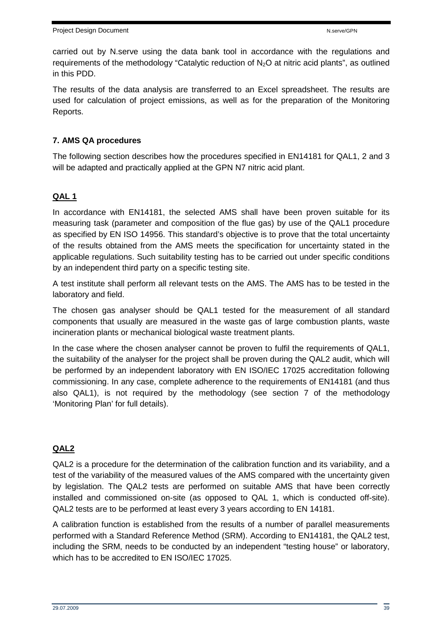carried out by N.serve using the data bank tool in accordance with the regulations and requirements of the methodology "Catalytic reduction of  $N_2O$  at nitric acid plants", as outlined in this PDD.

The results of the data analysis are transferred to an Excel spreadsheet. The results are used for calculation of project emissions, as well as for the preparation of the Monitoring Reports.

## **7. AMS QA procedures**

The following section describes how the procedures specified in EN14181 for QAL1, 2 and 3 will be adapted and practically applied at the GPN N7 nitric acid plant.

# **QAL 1**

In accordance with EN14181, the selected AMS shall have been proven suitable for its measuring task (parameter and composition of the flue gas) by use of the QAL1 procedure as specified by EN ISO 14956. This standard's objective is to prove that the total uncertainty of the results obtained from the AMS meets the specification for uncertainty stated in the applicable regulations. Such suitability testing has to be carried out under specific conditions by an independent third party on a specific testing site.

A test institute shall perform all relevant tests on the AMS. The AMS has to be tested in the laboratory and field.

The chosen gas analyser should be QAL1 tested for the measurement of all standard components that usually are measured in the waste gas of large combustion plants, waste incineration plants or mechanical biological waste treatment plants.

In the case where the chosen analyser cannot be proven to fulfil the requirements of QAL1, the suitability of the analyser for the project shall be proven during the QAL2 audit, which will be performed by an independent laboratory with EN ISO/IEC 17025 accreditation following commissioning. In any case, complete adherence to the requirements of EN14181 (and thus also QAL1), is not required by the methodology (see section 7 of the methodology 'Monitoring Plan' for full details).

# **QAL2**

QAL2 is a procedure for the determination of the calibration function and its variability, and a test of the variability of the measured values of the AMS compared with the uncertainty given by legislation. The QAL2 tests are performed on suitable AMS that have been correctly installed and commissioned on-site (as opposed to QAL 1, which is conducted off-site). QAL2 tests are to be performed at least every 3 years according to EN 14181.

A calibration function is established from the results of a number of parallel measurements performed with a Standard Reference Method (SRM). According to EN14181, the QAL2 test, including the SRM, needs to be conducted by an independent "testing house" or laboratory, which has to be accredited to EN ISO/IEC 17025.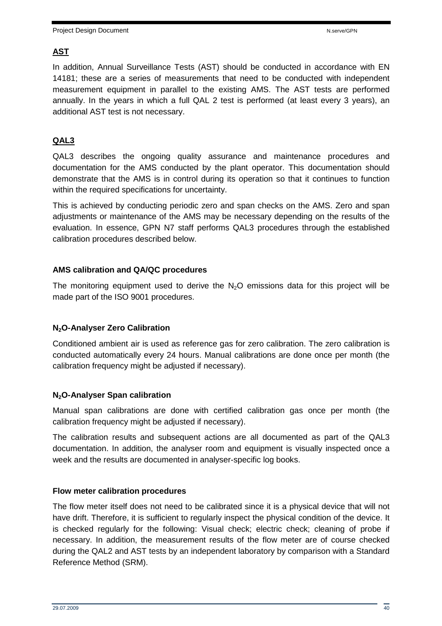### **AST**

In addition, Annual Surveillance Tests (AST) should be conducted in accordance with EN 14181; these are a series of measurements that need to be conducted with independent measurement equipment in parallel to the existing AMS. The AST tests are performed annually. In the years in which a full QAL 2 test is performed (at least every 3 years), an additional AST test is not necessary.

## **QAL3**

QAL3 describes the ongoing quality assurance and maintenance procedures and documentation for the AMS conducted by the plant operator. This documentation should demonstrate that the AMS is in control during its operation so that it continues to function within the required specifications for uncertainty.

This is achieved by conducting periodic zero and span checks on the AMS. Zero and span adjustments or maintenance of the AMS may be necessary depending on the results of the evaluation. In essence, GPN N7 staff performs QAL3 procedures through the established calibration procedures described below.

## **AMS calibration and QA/QC procedures**

The monitoring equipment used to derive the  $N_2O$  emissions data for this project will be made part of the ISO 9001 procedures.

## **N2O-Analyser Zero Calibration**

Conditioned ambient air is used as reference gas for zero calibration. The zero calibration is conducted automatically every 24 hours. Manual calibrations are done once per month (the calibration frequency might be adjusted if necessary).

#### **N2O-Analyser Span calibration**

Manual span calibrations are done with certified calibration gas once per month (the calibration frequency might be adjusted if necessary).

The calibration results and subsequent actions are all documented as part of the QAL3 documentation. In addition, the analyser room and equipment is visually inspected once a week and the results are documented in analyser-specific log books.

#### **Flow meter calibration procedures**

The flow meter itself does not need to be calibrated since it is a physical device that will not have drift. Therefore, it is sufficient to regularly inspect the physical condition of the device. It is checked regularly for the following: Visual check; electric check; cleaning of probe if necessary. In addition, the measurement results of the flow meter are of course checked during the QAL2 and AST tests by an independent laboratory by comparison with a Standard Reference Method (SRM).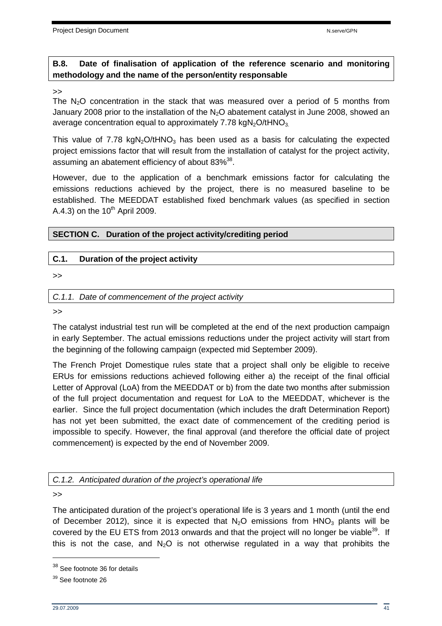## **B.8. Date of finalisation of application of the reference scenario and monitoring methodology and the name of the person/entity responsable**

#### >>

The  $N<sub>2</sub>O$  concentration in the stack that was measured over a period of 5 months from January 2008 prior to the installation of the N<sub>2</sub>O abatement catalyst in June 2008, showed an average concentration equal to approximately  $7.78 \text{ kgN}_2\text{O}/t\text{HNO}_3$ 

This value of 7.78 kgN<sub>2</sub>O/tHNO<sub>3</sub> has been used as a basis for calculating the expected project emissions factor that will result from the installation of catalyst for the project activity, assuming an abatement efficiency of about 83% $^{38}$ .

However, due to the application of a benchmark emissions factor for calculating the emissions reductions achieved by the project, there is no measured baseline to be established. The MEEDDAT established fixed benchmark values (as specified in section A.4.3) on the  $10^{th}$  April 2009.

#### **SECTION C. Duration of the project activity/crediting period**

#### **C.1. Duration of the project activity**

>>

C.1.1. Date of commencement of the project activity

>>

The catalyst industrial test run will be completed at the end of the next production campaign in early September. The actual emissions reductions under the project activity will start from the beginning of the following campaign (expected mid September 2009).

The French Projet Domestique rules state that a project shall only be eligible to receive ERUs for emissions reductions achieved following either a) the receipt of the final official Letter of Approval (LoA) from the MEEDDAT or b) from the date two months after submission of the full project documentation and request for LoA to the MEEDDAT, whichever is the earlier. Since the full project documentation (which includes the draft Determination Report) has not yet been submitted, the exact date of commencement of the crediting period is impossible to specify. However, the final approval (and therefore the official date of project commencement) is expected by the end of November 2009.

#### C.1.2. Anticipated duration of the project's operational life

>>

The anticipated duration of the project's operational life is 3 years and 1 month (until the end of December 2012), since it is expected that  $N_2O$  emissions from  $HNO_3$  plants will be covered by the EU ETS from 2013 onwards and that the project will no longer be viable<sup>39</sup>. If this is not the case, and  $N_2O$  is not otherwise regulated in a way that prohibits the

<sup>38</sup> See footnote 36 for details

<sup>&</sup>lt;sup>39</sup> See footnote 26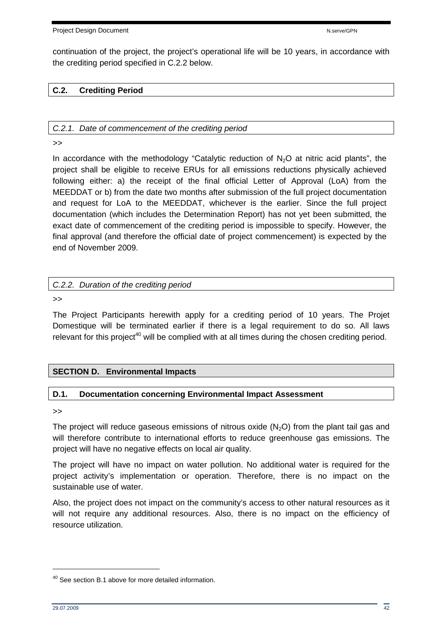continuation of the project, the project's operational life will be 10 years, in accordance with the crediting period specified in C.2.2 below.

#### **C.2. Crediting Period**

#### C.2.1. Date of commencement of the crediting period

>>

In accordance with the methodology "Catalytic reduction of  $N<sub>2</sub>O$  at nitric acid plants", the project shall be eligible to receive ERUs for all emissions reductions physically achieved following either: a) the receipt of the final official Letter of Approval (LoA) from the MEEDDAT or b) from the date two months after submission of the full project documentation and request for LoA to the MEEDDAT, whichever is the earlier. Since the full project documentation (which includes the Determination Report) has not yet been submitted, the exact date of commencement of the crediting period is impossible to specify. However, the final approval (and therefore the official date of project commencement) is expected by the end of November 2009.

| C.2.2. Duration of the crediting period |  |
|-----------------------------------------|--|
|-----------------------------------------|--|

>>

The Project Participants herewith apply for a crediting period of 10 years. The Projet Domestique will be terminated earlier if there is a legal requirement to do so. All laws relevant for this project<sup>40</sup> will be complied with at all times during the chosen crediting period.

#### **SECTION D. Environmental Impacts**

#### **D.1. Documentation concerning Environmental Impact Assessment**

>>

The project will reduce gaseous emissions of nitrous oxide  $(N_2O)$  from the plant tail gas and will therefore contribute to international efforts to reduce greenhouse gas emissions. The project will have no negative effects on local air quality.

The project will have no impact on water pollution. No additional water is required for the project activity's implementation or operation. Therefore, there is no impact on the sustainable use of water.

Also, the project does not impact on the community's access to other natural resources as it will not require any additional resources. Also, there is no impact on the efficiency of resource utilization.

<sup>&</sup>lt;sup>40</sup> See section B.1 above for more detailed information.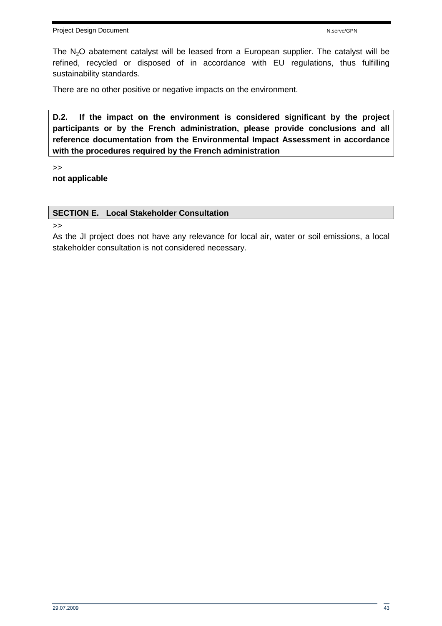The  $N_2O$  abatement catalyst will be leased from a European supplier. The catalyst will be refined, recycled or disposed of in accordance with EU regulations, thus fulfilling sustainability standards.

There are no other positive or negative impacts on the environment.

**D.2. If the impact on the environment is considered significant by the project participants or by the French administration, please provide conclusions and all reference documentation from the Environmental Impact Assessment in accordance with the procedures required by the French administration** 

>> **not applicable**

#### **SECTION E. Local Stakeholder Consultation**

>>

As the JI project does not have any relevance for local air, water or soil emissions, a local stakeholder consultation is not considered necessary.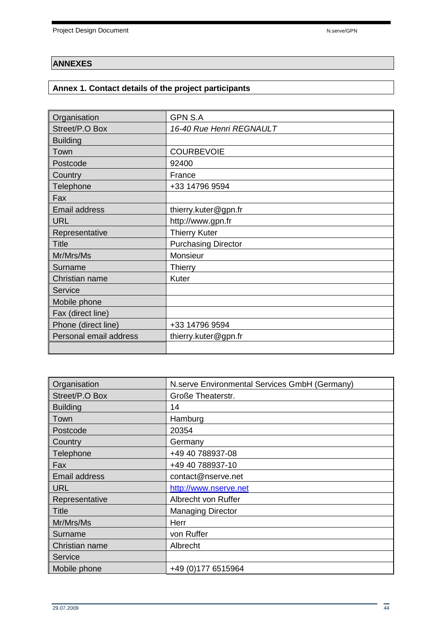# **ANNEXES**

# **Annex 1. Contact details of the project participants**

| Organisation           | <b>GPN S.A</b>             |
|------------------------|----------------------------|
| Street/P.O Box         | 16-40 Rue Henri REGNAULT   |
| <b>Building</b>        |                            |
| Town                   | <b>COURBEVOIE</b>          |
| Postcode               | 92400                      |
| Country                | France                     |
| Telephone              | +33 14796 9594             |
| Fax                    |                            |
| <b>Email address</b>   | thierry.kuter@gpn.fr       |
| <b>URL</b>             | http://www.gpn.fr          |
| Representative         | <b>Thierry Kuter</b>       |
| <b>Title</b>           | <b>Purchasing Director</b> |
| Mr/Mrs/Ms              | Monsieur                   |
| Surname                | <b>Thierry</b>             |
| Christian name         | Kuter                      |
| Service                |                            |
| Mobile phone           |                            |
| Fax (direct line)      |                            |
| Phone (direct line)    | +33 14796 9594             |
| Personal email address | thierry.kuter@gpn.fr       |
|                        |                            |

| Organisation         | N.serve Environmental Services GmbH (Germany) |
|----------------------|-----------------------------------------------|
| Street/P.O Box       | Große Theaterstr.                             |
| <b>Building</b>      | 14                                            |
| Town                 | Hamburg                                       |
| Postcode             | 20354                                         |
| Country              | Germany                                       |
| Telephone            | +49 40 788937-08                              |
| Fax                  | +49 40 788937-10                              |
| <b>Email address</b> | contact@nserve.net                            |
| <b>URL</b>           | http://www.nserve.net                         |
| Representative       | Albrecht von Ruffer                           |
| <b>Title</b>         | <b>Managing Director</b>                      |
| Mr/Mrs/Ms            | Herr                                          |
| Surname              | von Ruffer                                    |
| Christian name       | Albrecht                                      |
| Service              |                                               |
| Mobile phone         | +49 (0) 177 6515964                           |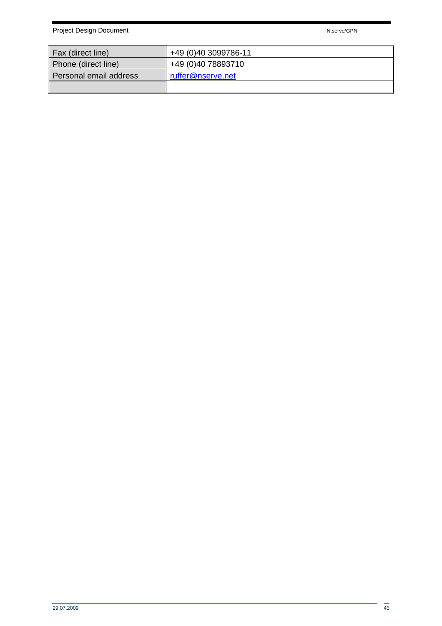Project Design Document National According to the National According National According National According National According National According National According National According National According National According N

| Fax (direct line)      | +49 (0)40 3099786-11 |
|------------------------|----------------------|
| Phone (direct line)    | +49 (0)40 78893710   |
| Personal email address | ruffer@nserve.net    |
|                        |                      |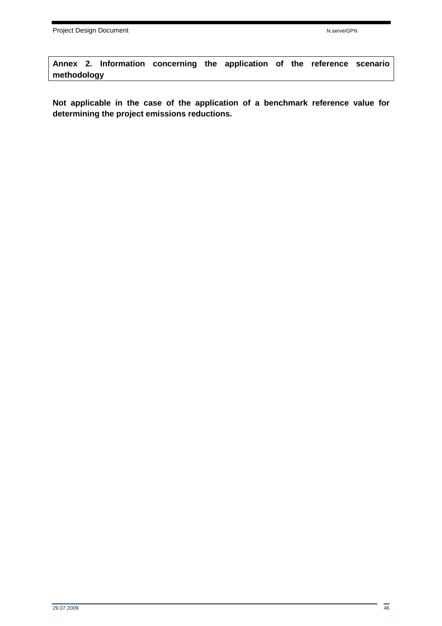**Annex 2. Information concerning the application of the reference scenario methodology** 

**Not applicable in the case of the application of a benchmark reference value for determining the project emissions reductions.**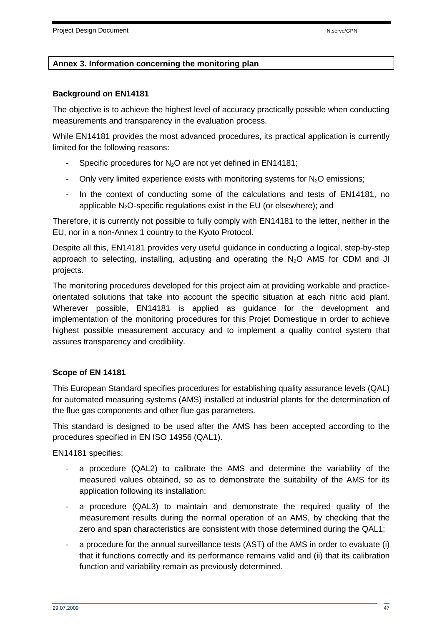#### **Annex 3. Information concerning the monitoring plan**

#### **Background on EN14181**

The objective is to achieve the highest level of accuracy practically possible when conducting measurements and transparency in the evaluation process.

While EN14181 provides the most advanced procedures, its practical application is currently limited for the following reasons:

- Specific procedures for  $N_2O$  are not yet defined in EN14181;
- Only very limited experience exists with monitoring systems for  $N_2O$  emissions;
- In the context of conducting some of the calculations and tests of EN14181, no applicable  $N_2O$ -specific regulations exist in the EU (or elsewhere); and

Therefore, it is currently not possible to fully comply with EN14181 to the letter, neither in the EU, nor in a non-Annex 1 country to the Kyoto Protocol.

Despite all this, EN14181 provides very useful guidance in conducting a logical, step-by-step approach to selecting, installing, adjusting and operating the  $N_2O$  AMS for CDM and JI projects.

The monitoring procedures developed for this project aim at providing workable and practiceorientated solutions that take into account the specific situation at each nitric acid plant. Wherever possible, EN14181 is applied as guidance for the development and implementation of the monitoring procedures for this Projet Domestique in order to achieve highest possible measurement accuracy and to implement a quality control system that assures transparency and credibility.

#### **Scope of EN 14181**

This European Standard specifies procedures for establishing quality assurance levels (QAL) for automated measuring systems (AMS) installed at industrial plants for the determination of the flue gas components and other flue gas parameters.

This standard is designed to be used after the AMS has been accepted according to the procedures specified in EN ISO 14956 (QAL1).

EN14181 specifies:

- a procedure (QAL2) to calibrate the AMS and determine the variability of the measured values obtained, so as to demonstrate the suitability of the AMS for its application following its installation;
- a procedure (QAL3) to maintain and demonstrate the required quality of the measurement results during the normal operation of an AMS, by checking that the zero and span characteristics are consistent with those determined during the QAL1;
- a procedure for the annual surveillance tests (AST) of the AMS in order to evaluate (i) that it functions correctly and its performance remains valid and (ii) that its calibration function and variability remain as previously determined.